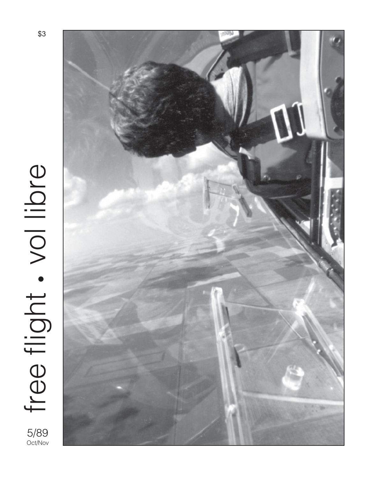

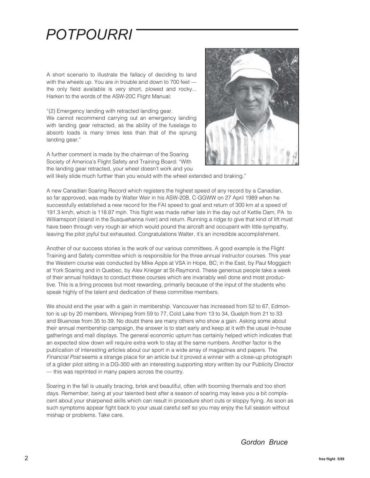## *POTPOURRI*

A short scenario to illustrate the fallacy of deciding to land with the wheels up. You are in trouble and down to 700 feet the only field available is very short, plowed and rocky... Harken to the words of the ASW-20C Flight Manual:

"(2) Emergency landing with retracted landing gear. We cannot recommend carrying out an emergency landing with landing gear retracted, as the ability of the fuselage to absorb loads is many times less than that of the sprung landing gear."

A further comment is made by the chairman of the Soaring Society of America's Flight Safety and Training Board: "With the landing gear retracted, your wheel doesn't work and you



will likely slide much further than you would with the wheel extended and braking."

A new Canadian Soaring Record which registers the highest speed of any record by a Canadian, so far approved, was made by Walter Weir in his ASW-20B, C-GGWW on 27 April 1989 when he successfully established a new record for the FAI speed to goal and return of 300 km at a speed of 191.3 km/h, which is 118.87 mph. This flight was made rather late in the day out of Kettle Dam, PA to Williamsport (island in the Susquehanna river) and return. Running a ridge to give that kind of lift must have been through very rough air which would pound the aircraft and occupant with little sympathy, leaving the pilot joyful but exhausted. Congratulations Walter, it's an incredible accomplishment.

Another of our success stories is the work of our various committees. A good example is the Flight Training and Safety committee which is responsible for the three annual instructor courses. This year the Western course was conducted by Mike Apps at VSA in Hope, BC; in the East, by Paul Moggach at York Soaring and in Quebec, by Alex Krieger at St-Raymond. These generous people take a week of their annual holidays to conduct these courses which are invariably well done and most productive. This is a tiring process but most rewarding, primarily because of the input of the students who speak highly of the talent and dedication of these committee members.

We should end the year with a gain in membership. Vancouver has increased from 52 to 67, Edmonton is up by 20 members, Winnipeg from 59 to 77, Cold Lake from 13 to 34, Guelph from 21 to 33 and Bluenose from 35 to 39. No doubt there are many others who show a gain. Asking some about their annual membership campaign, the answer is to start early and keep at it with the usual in-house gatherings and mall displays. The general economic upturn has certainly helped which indicates that an expected slow down will require extra work to stay at the same numbers. Another factor is the publication of interesting articles about our sport in a wide array of magazines and papers. The Financial Post seems a strange place for an article but it proved a winner with a close-up photograph of a glider pilot sitting in a DG-300 with an interesting supporting story written by our Publicity Director — this was reprinted in many papers across the country.

Soaring in the fall is usually bracing, brisk and beautiful, often with booming thermals and too short days. Remember, being at your talented best after a season of soaring may leave you a bit complacent about your sharpened skills which can result in procedure short cuts or sloppy flying. As soon as such symptoms appear fight back to your usual careful self so you may enjoy the full season without mishap or problems. Take care.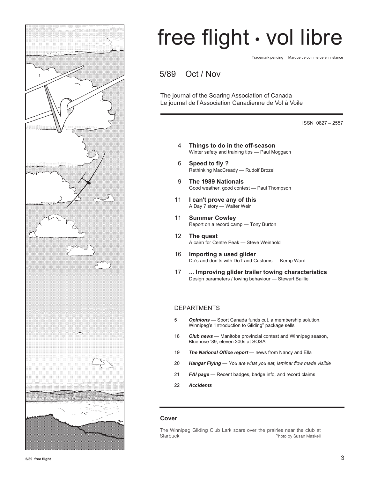

## free flight • vol libre

Trademark pending Marque de commerce en instance

5/89 Oct / Nov

The journal of the Soaring Association of Canada Le journal de l'Association Canadienne de Vol à Voile

ISSN 0827 – 2557

- 4 **Things to do in the off-season** Winter safety and training tips — Paul Moggach
- 6 **Speed to fly ?** Rethinking MacCready — Rudolf Brozel
- 9 **The 1989 Nationals** Good weather, good contest — Paul Thompson
- 11 **I can't prove any of this** A Day 7 story — Walter Weir
- 11 **Summer Cowley** Report on a record camp — Tony Burton
- 12 **The quest** A cairn for Centre Peak — Steve Weinhold
- 16 **Importing a used glider** Do's and don'ts with DoT and Customs — Kemp Ward
- 17 **... Improving glider trailer towing characteristics** Design parameters / towing behaviour — Stewart Baillie

#### DEPARTMENTS

- 5 *Opinions* Sport Canada funds cut, a membership solution, Winnipeg's "Introduction to Gliding" package sells
- 18 *Club news*  Manitoba provincial contest and Winnipeg season, Bluenose '89, eleven 300s at SOSA
- 19 *The National Office report* news from Nancy and Ella
- 20 *Hangar Flying You are what you eat, laminar flow made visible*
- 21 *FAI page* Recent badges, badge info, and record claims
- 22 *Accidents*

#### **Cover**

The Winnipeg Gliding Club Lark soars over the prairies near the club at Starbuck. **Photo by Susan Maskell**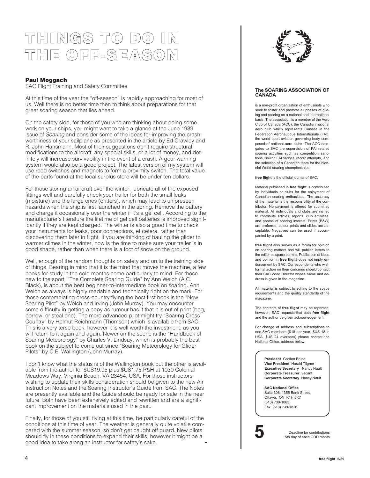## **THINGS TO DO IN THE OFF-SEASON**

#### **Paul Moggach**

SAC Flight Training and Safety Committee

At this time of the year the "off-season" is rapidly approaching for most of us. Well there is no better time then to think about preparations for that great soaring season that lies ahead.

On the safety side, for those of you who are thinking about doing some work on your ships, you might want to take a glance at the June 1989 issue of Soaring and consider some of the ideas for improving the crashworthiness of your sailplane as presented in the article by Ed Crawley and R. John Hansmann. Most of their suggestions don't require structural modifications to the aircraft, any special skills, or a lot of money, and definitely will increase survivability in the event of a crash. A gear warning system would also be a good project. The latest version of my system will use reed switches and magnets to form a proximity switch. The total value of the parts found at the local surplus store will be under ten dollars.

For those storing an aircraft over the winter, lubricate all of the exposed fittings well and carefully check your trailer for both the small leaks (moisture) and the large ones (critters), which may lead to unforeseen hazards when the ship is first launched in the spring. Remove the battery and charge it occasionally over the winter if it's a gel cell. According to the manufacturer's literature the lifetime of gel cell batteries is improved significantly if they are kept charged. The winter is also a good time to check your instruments for leaks, poor connections, et cetera, rather than discovering them later in flight. If you are thinking of hauling the glider to warmer climes in the winter, now is the time to make sure your trailer is in good shape, rather than when there is a foot of snow on the ground.

Well, enough of the random thoughts on safety and on to the training side of things. Bearing in mind that it is the mind that moves the machine, a few books for study in the cold months come particularly to mind. For those new to the sport, "The Complete Soaring Guide" by Ann Welch (A.C. Black), is about the best beginner-to-intermediate book on soaring. Ann Welch as always is highly readable and technically right on the mark. For those contemplating cross-country flying the best first book is the "New Soaring Pilot" by Welch and Irving (John Murray). You may encounter some difficulty in getting a copy as rumour has it that it is out of print (beg, borrow, or steal one). The more advanced pilot might try "Soaring Cross Country" by Helmut Reichmann (Thomson) which is available from SAC. This is a very terse book, however it is well worth the investment, as you will return to it again and again. Newer on the scene is the "Handbook of Soaring Meteorology" by Charles V. Lindsay, which is probably the best book on the subject to come out since "Soaring Meteorology for Glider Pilots" by C.E. Wallington (John Murray).

I don't know what the status is of the Wallington book but the other is available from the author for \$US19.95 plus \$US1.75 P&H at 1030 Colonial Meadows Way, Virginia Beach, VA 23454, USA. For those instructors wishing to update their skills consideration should be given to the new Air Instruction Notes and the Soaring Instructor's Guide from SAC. The Notes are presently available and the Guide should be ready for sale in the near future. Both have been extensively edited and rewritten and are a significant improvement on the materials used in the past.

Finally, for those of you still flying at this time, be particularly careful of the conditions at this time of year. The weather is generally quite volatile compared with the summer season, so don't get caught off guard. New pilots should fly in these conditions to expand their skills, however it might be a good idea to take along an instructor for safety's sake. •



#### **The SOARING ASSOCIATION OF CANADA**

is a non-profit organization of enthusiasts who seek to foster and promote all phases of gliding and soaring on a national and international basis. The association is a member of the Aero Club of Canada (ACC), the Canadian national aero club which represents Canada in the Fédération Aéronautique Internationale (FAI), the world sport aviation governing body composed of national aero clubs. The ACC delegates to SAC the supervision of FAI related soaring activities such as competition sanctions, issuing FAI badges, record attempts, and the selection of a Canadian team for the biennial World soaring championships.

**free flight** is the official journal of SAC.

Material published in **free flight** is contributed by individuals or clubs for the enjoyment of Canadian soaring enthusiasts. The accuracy of the material is the responsibility of the contributor. No payment is offered for submitted material. All individuals and clubs are invited to contribute articles, reports, club activities, and photos of soaring interest. Prints (B&W) are preferred, colour prints and slides are acceptable. Negatives can be used if accompanied by a print.

**free flight** also serves as a forum for opinion on soaring matters and will publish letters to the editor as space permits. Publication of ideas and opinion in **free flight** does not imply endorsement by SAC. Correspondents who wish formal action on their concerns should contact their SAC Zone Director whose name and address is given in the magazine.

All material is subject to editing to the space requirements and the quality standards of the magazine.

The contents of **free flight** may be reprinted; however, SAC requests that both **free flight** and the author be given acknowledgement.

For change of address and subscriptions to non-SAC members (\$18 per year, \$US 18 in USA, \$US 24 overseas) please contact the National Office, address below.

> **President** Gordon Bruce **Vice President** Harald Tilgner **Executive Secretary** Nancy Nault **Corporate Treasurer** vacant **Corporate Secretary** Nancy Nault

**SAC National Office** Suite 306, 1355 Bank Street Ottawa, ON K1H 8K7 (613) 739-1063 Fax (613) 739-1826



**5** Deadline for contributions<br>5th day of each ODD month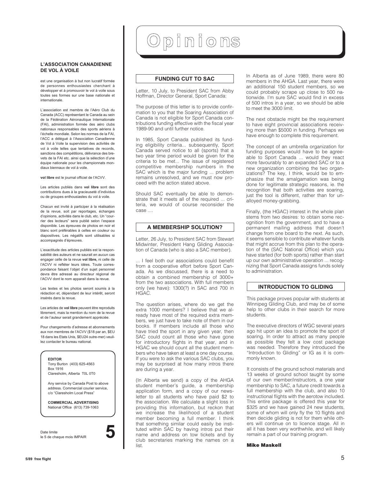#### **L'ASSOCIATION CANADIENNE DE VOL À VOILE**

est une organisation à but non lucratif formée de personnes enthousiastes cherchant à développer et à promouvoir le vol à voile sous toutes ses formes sur une base nationale et internationale.

L'association est membre de l'Aéro Club du Canada (ACC) représentant le Canada au sein de la Fédération Aéronautique Internationale (FAI), administration formée des aéro clubs nationaux responsables des sports aériens à l'échelle mondiale. Selon les normes de la FAI, l'ACC a délégué à l'Association Canadienne de Vol à Voile la supervision des activités de vol à voile telles que tentatives de records, sanctions des compétitions, délivrance des brevets de la FAI etc. ainsi que la sélection d'une équipe nationale pour les championnats mondiaux biennaux de vol à voile.

**vol libre** est le journal officiel de l'ACVV.

Les articles publiés dans **vol libre** sont des contributions dues à la gracieuseté d'individus ou de groupes enthousiastes du vol à voile.

Chacun est invité à participer à la réalisation de la revue, soit par reportages, échanges d'opinions, activités dans le club, etc. Un "courrier des lecteurs" sera publié selon l'espace disponible. Les épreuves de photos en noir et blanc sont préférables à celles en couleur ou diapositives. Les négatifs sont utilisables si accompagnés d'épreuves.

L'exactitude des articles publiés est la responsabilité des auteurs et ne saurait en aucun cas engager celle de la revue **vol libre,** ni celle de l'ACVV ni refléter leurs idées. Toute correspondance faisant l'objet d'un sujet personnel devra être adressé au directeur régional de l'ACVV dont le nom apparait dans la revue.

Les textes et les photos seront soumis à la rédaction et, dépendant de leur intérêt, seront insérés dans la revue.

Les articles de **vol libre** peuvent être reproduits librement, mais la mention du nom de la revue et de l'auteur serait grandement appréciée.

Pour changements d'adresse et abonnements aux non membres de l'ACVV (\$18 par an, \$EU 18 dans les Etats Unis, \$EU24 outre-mer) veuillez contacter le bureau national.

#### **EDITOR**

Tony Burton (403) 625-4563 Box 1916 Claresholm, Alberta T0L 0T0

Any service by Canada Post to above address. Commercial courier service, c/o "Claresholm Local Press"

**COMMERCIAL ADVERTISING** National Office (613) 739-1063

Date limite le 5 de chaque mois IMPAIR **5**

## Opinions

#### **FUNDING CUT TO SAC**

Letter, 10 July, to President SAC from Abby Hoffman, Director General, Sport Canada:

The purpose of this letter is to provide confirmation to you that the Soaring Association of Canada is not eligible for Sport Canada contributions funding effective with the fiscal year 1989-90 and until further notice.

In 1985, Sport Canada published its funding eligibility criteria... subsequently, Sport Canada served notice to all (sports) that a two year time period would be given for the criteria to be met... The issue of registered competitive membership numbers in the SAC which is the major funding ... problem remains unresolved, and we must now proceed with the action stated above.

Should SAC eventually be able to demonstrate that it meets all of the required ... criteria, we would of course reconsider the case ....

#### **A MEMBERSHIP SOLUTION?**

Letter, 26 July, to President SAC from Stewart Midwinter, President Hang Gliding Association of Canada (who is also a SAC member).

. I feel both our associations could benefit from a cooperative effort before Sport Canada. As we discussed, there is a need to obtain a combined membership of 3000+ from the two associations. With full members only (we have): 1300(?) in SAC and 700 in HGAC.

The question arises, where do we get the extra 1000 members? I believe that we already have most of the required extra members, we just have to take note of them in our books. If members include all those who have tried the sport in any given year, then SAC could count all those who have gone for introductory flights in that year, and in HGAC we should count all the student members who have taken at least a one day course. If you were to ask the various SAC clubs, you may be surprised at how many intros there are during a year.

(In Alberta we send) a copy of the AHGA student member's guide, a membership application form, and a copy of our newsletter to all students who have paid \$2 to the association. We calculate a slight loss in providing this information, but reckon that we increase the likelihood of a student member becoming a full member. I think that something similar could easily be instituted within SAC by having intros put their name and address on tow tickets and by club secretaries marking the names on a list.

In Alberta as of June 1989, there were 80 members in the AHGA. Last year, there were an additional 150 student members, so we could probably scrape up close to 500 nationwide. I'm sure SAC would find in excess of 500 intros in a year, so we should be able to meet the 3000 limit.

The next obstacle might be the requirement to have eight provincial associations receiving more than \$5000 in funding. Perhaps we have enough to complete this requirement.

The concept of an umbrella organization for funding purposes would have to be agreeable to Sport Canada ... would they react more favourably to an expanded SAC or to a new organization combining the two organizations? The key, I think, would be to emphasize that the amalgamation was being done for legitimate strategic reasons, ie. the recognition that both activities are soaring, just the tool is different, rather than for unalloyed money-grabbing.

Finally, (the HGAC) interest in the whole plan stems from two desires: to obtain some recognition from the government, and to have a permanent mailing address that doesn't change from one board to the next. As such, it seems sensible to contribute whatever funds that might accrue from this plan to the operation of the (SAC National Office) which you have started (for both sports) rather than start up our own administrative operation ... recognizing that Sport Canada assigns funds solely to administration.

#### **INTRODUCTION TO GLIDING**

This package proves popular with students at Winnipeg Gliding Club, and may be of some help to other clubs in their search for more students.

The executive directors of WGC several years ago hit upon an idea to promote the sport of soaring. In order to attract as many people as possible they felt a low cost package was needed. Therefore they introduced the "Introduction to Gliding" or IG as it is commonly known.

It consists of the ground school materials and 13 weeks of ground school taught by some of our own member/instructors, a one year membership to SAC, a future credit towards a full membership with the club, and also 10 instructional flights with the aerotow included. This entire package is offered this year for \$325 and we have gained 24 new students, some of whom will only fly the 10 flights and then decide gliding is not for them while others will continue on to licence stage. All in all it has been very worthwhile, and will likely remain a part of our training program.

#### **Mike Maskell**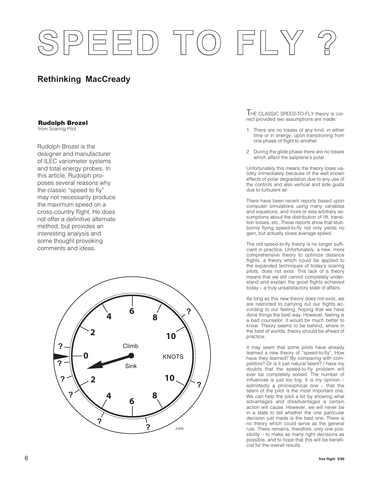# PEED TO FLY

#### **Rethinking MacCready**

#### **Rudolph Brozel**

from Soaring Pilot

Rudolph Brozel is the designer and manufacturer of ILEC variometer systems and total energy probes. In this article, Rudolph proposes several reasons why the classic "speed to fly" may not necessarily produce the maximum speed on a cross-country flight. He does not offer a definitive alternate method, but provides an interesting analysis and some thought provoking comments and ideas.



THE CLASSIC SPEED-TO-FLY theory is correct provided two assumptions are made:

- 1 There are no losses of any kind, in either time or in energy, upon transitioning from one phase of flight to another.
- 2 During the glide phase there are no losses which affect the sailplane's polar.

Unfortunately this means the theory loses validity immediately because of the well known effects of polar degradation due to any use of the controls and also vertical and side gusts due to turbulent air.

There have been recent reports based upon computer simulations using many variables and equations, and more or less arbitrary assumptions about the distribution of lift, transition losses, etc. These reports show that stubbornly flying speed-to-fly not only yields no gain, but actually slows average speed.

The old speed-to-fly theory is no longer sufficient in practice. Unfortunately, a new, more comprehensive theory to optimize distance flights, a theory which could be applied to the expanded techniques of today's soaring pilots, does not exist. This lack of a theory means that we still cannot completely understand and explain the good flights achieved today – a truly unsatisfactory state of affairs.

As long as this new theory does not exist, we are restricted to carrying out our flights according to our feeling, hoping that we have done things the best way. However, feeling is a bad counselor, it would be much better to know. Theory seems to be behind, where in the best of worlds, theory should be ahead of practice.

It may seem that some pilots have already learned a new theory of "speed-to-fly". How have they learned? By comparing with competitors? Or is it just natural talent? I have my doubts that the speed-to-fly problem will ever be completely solved. The number of influences is just too big. It is my opinion – admittedly a philosophical one – that the talent of the pilot is the most important one. We can help the pilot a bit by showing what advantages and disadvantages a certain action will cause. However, we will never be in a state to tell whether the one particular decision just made is the best one. There is no theory which could serve as the general rule. There remains, therefore, only one possibility – to make as many right decisions as possible, and to hope that this will be beneficial for the overall results.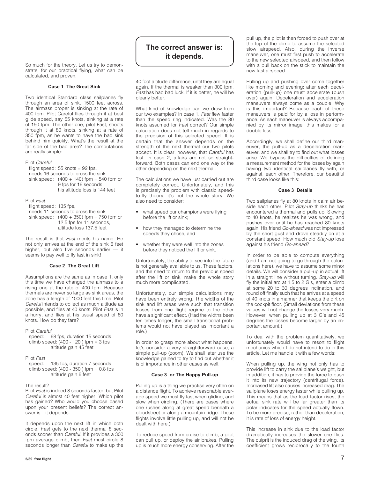So much for the theory. Let us try to demonstrate, for our practical flying, what can be calculated, and proven.

#### **Case 1 The Great Sink**

Two identical Standard class sailplanes fly through an area of sink, 1500 feet across. The airmass proper is sinking at the rate of 400 fpm. Pilot Careful flies through it at best glide speed, say 55 knots, sinking at a rate of 150 fpm. The other one, pilot Fast, shoots through it at 80 knots, sinking at a rate of 350 fpm, as he wants to have the bad sink behind him quickly. What's the result at the far side of the bad area? The computations are really simple:

#### Pilot Careful

flight speed:  $55$  knots = 92 fps. needs 16 seconds to cross the sink sink speed:  $(400 + 140)$  fpm = 540 fpm or 9 fps for 16 seconds, his altitude loss is 144 feet

Pilot Fast

flight speed: 135 fps, needs 11 seconds to cross the sink sink speed:  $(400 + 350)$  fpm = 750 fpm or 12.5 fps for 11 seconds, altitude loss 137.5 feet

The result is that Fast merits his name. He not only arrives at the end of the sink 6 feet higher, but also five seconds earlier — it seems to pay well to fly fast in sink!

#### **Case 2 The Great Lift**

Assumptions are the same as in case 1, only this time we have changed the airmass to a rising one at the rate of 400 fpm. Because thermals are never so large as sink areas, the zone has a length of 1000 feet this time. Pilot Careful intends to collect as much altitude as possible, and flies at 40 knots. Pilot Fast is in a hurry, and flies at his usual speed of 80 knots. How do they fare?

Pilot Careful

speed: 68 fps, duration 15 seconds climb speed:  $(400 - 120)$  fpm = 3 fps altitude gain 45 feet

#### Pilot Fast

speed: 135 fps, duration 7 seconds climb speed:  $(400 - 350)$  fpm = 0.8 fps altitude gain 6 feet

#### The result?

Pilot Fast is indeed 8 seconds faster, but Pilot Careful is almost 40 feet higher! Which pilot has gained? Who would you choose based upon your present beliefs? The correct answer is – it depends.

It depends upon the next lift in which both circle. Fast gets to the next thermal 8 seconds sooner than Careful. If it provides a 300 fpm average climb, then Fast must circle 8 seconds longer than *Careful* to make up the

#### **The correct answer is: it depends.**

40 foot altitude difference, until they are equal again. If the thermal is weaker than 300 fpm, Fast has had bad luck. If it is better, he will be clearly better.

What kind of knowledge can we draw from our two examples? In case 1, Fast flew faster than the speed ring indicated. Was the 80 knots assumed for Fast correct? Our simple calculation does not tell much in regards to the precision of this selected speed. It is certain that the answer depends on the strength of the next thermal our two pilots accept. It is clear, however, that Careful has lost. In case 2, affairs are not so straightforward. Both cases can end one way or the other depending on the next thermal.

The calculations we have just carried out are completely correct. Unfortunately, and this is precisely the problem with classic speedto-fly theory, it's not the whole story. We also need to consider:

- what speed our champions were flying before the lift or sink;
- how they managed to determine the speeds they chose, and
- whether they were well into the zones before they noticed the lift or sink.

Unfortunately, the ability to see into the future is not generally available to us. These factors, and the need to return to the previous speed after the lift or sink, make the whole story much more complicated.

Unfortunately, our simple calculations may have been entirely wrong. The widths of the sink and lift areas were such that transition losses from one flight regime to the other have a significant effect. (Had the widths been ten times longer, the small transitional problems would not have played as important a role.)

In order to grasp more about what happens, let's consider a very straightforward case, a simple pull-up (zoom). We shall later use the knowledge gained to try to find out whether it is of importance in other cases as well.

#### **Case 3 or The Happy Pull-up**

Pulling up is a thing we practise very often on a distance flight. To achieve reasonable average speed we must fly fast when gliding, and slow when circling. (There are cases where one rushes along at great speed beneath a cloudstreet or along a mountain ridge. These flights involve little pulling up, and will not be dealt with here.)

To reduce speed from cruise to climb, a pilot can pull up, or deploy the air brakes. Pulling up is much more energy conserving. After the

pull up, the pilot is then forced to push over at the top of the climb to assume the selected slow airspeed. Also, during the inverse maneuver, one must first push to accelerate to the new selected airspeed, and then follow with a pull back on the stick to maintain the new fast airspeed.

Pulling up and pushing over come together like morning and evening: after each deceleration (pull-up) one must accelerate (push over) again. Deceleration and acceleration maneuvers always come as a couple. Why is this important? Because each of these maneuvers is paid for by a loss in performance. As each maneuver is always accompanied by its mirror image, this makes for a double loss.

Accordingly, we shall define our third maneuver, the pull-up as a deceleration maneuver, and we shall try to find out what losses arise. We bypass the difficulties of defining a measurement method for the losses by again having two identical sailplanes fly with, or against, each other. Therefore, our beautiful third case looks like this:

#### **Case 3 Details**

Two sailplanes fly at 80 knots in calm air beside each other. Pilot Stay-up thinks he has encountered a thermal and pulls up. Slowing to 40 knots, he realizes he was wrong, and pushes over until he has reached 80 knots again. His friend Go-ahead was not impressed by the short gust and drove steadily on at a constant speed. How much did Stay-up lose against his friend Go-ahead?

In order to be able to compute everything (and I am not going to go through the calculations here), we have to assume some minor details. We will consider a pull-up in actual lift in a straight line without turning. Stay-up will fly the initial arc at 1.5 to 2 G's, enter a climb at some 20 to 30 degrees inclination, and round off finally such that he arrives at a speed of 40 knots in a manner that keeps the dirt on the cockpit floor. (Small deviations from these values will not change the losses very much. However, when pulling up at 3 G's and 45 degrees the losses become larger by an important amount.)

To deal with the problem quantitatively, we unfortunately would have to resort to flight mechanics which I do not intend to do in this article. Let me handle it with a few words:

When pulling up, the wing not only has to provide lift to carry the sailplane's weight, but in addition, it has to provide the force to push it into its new trajectory (centrifugal force). Increased lift also causes increased drag. The sailplane loses energy faster while pulling up. This means that as the load factor rises, the actual sink rate will be far greater than its polar indicates for the speed actually flown. To be more precise, rather than deceleration, it is rate of loss of energy height.

This increase in sink due to the load factor dramatically increases the slower one flies. The culprit is the induced drag of the wing. Its coefficient grows reciprocally to the fourth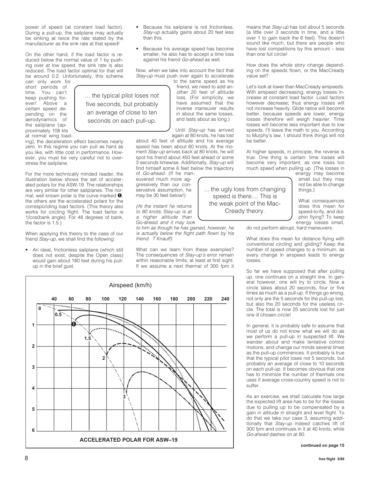power of speed (at constant load factor). During a pull-up, the sailplane may actually be sinking at twice the rate stated by the manufacturer as the sink rate at that speed!

On the other hand, if the load factor is reduced below the normal value of 1 by pushing over at low speed, the sink rate is also reduced. The load factor optimal for that will be around 0.2. Unfortunately, this scheme

ing), the deceleration effect becomes nearly zero. In this regime you can pull as hard as you like, with little cost in performance. However, you must be very careful not to over-

For the more technically minded reader, the illustration below shows the set of accelerated polars for the ASW-19. The relationships are very similar for other sailplanes. The normal, well known polar is the curve marked  $\bullet$ , the others are the accelerated polars for the corresponding load factors. (This theory also works for circling flight. The load factor is 1/cos(bank angle). For 48 degrees of bank,

When applying this theory to the case of our friend Stay-up, we shall find the following: • An ideal, frictionless sailplane (which still does not exist, despite the Open class) would gain about 180 feet during his pull-

can only work for short periods of<br>time You can't You can't keep pushing forever! Above a certain speed depending on the aerodynamics of the sailplane (approximately 108 kts at normal wing load-

stress the sailplane.

the factor is 1.5.)

up in the brief gust.

... the typical pilot loses not five seconds, but probably an average of close to ten seconds on each pull-up.

Stay-up must push over again to accelerate to the same speed as his friend, we need to add another 20 feet of altitude loss. (For simplicity, we have assumed that the inverse maneuver results in about the same losses, and lasts about as long.)

Because his sailplane is not frictionless, Stay-up actually gains about 20 feet less

• Because his average speed has become smaller, he also has to accept a time loss against his friend Go-ahead as well. Now, when we take into account the fact that

than this.

Until Stay-up has arrived again at 80 knots, he has lost

about 40 feet of altitude and his average speed has been about 60 knots. At the moment Stay-up arrives back at 80 knots, he will spot his friend about 450 feet ahead or some 3 seconds timewise. Additionally, Stay-up will find himself some 6 feet below the trajectory

of Go-ahead. (If he maneuvered much more aggressively than our conservative assumption, he may be 30 feet below!)

(At the instant he returns to 80 knots, Stay-up is at a higher altitude than Go-ahead and it may look

to him as though he has gained, however, he is actually below the flight path flown by his friend. T Knauff)

What can we learn from these examples? The consequences of Stay-up's error remain within reasonable limits, at least at first sight. If we assume a next thermal of 300 fpm it

Airspeed (km/h) **ACCELERATED POLAR FOR ASW–19 40 60 80 100 120 140 160 180 200 220 240 1 2 3 4 5 6 0 0.5 1.5 2 3** o

means that Stay-up has lost about 5 seconds (a little over 3 seconds in time, and a little over 1 to gain back the 6 feet). This doesn't sound like much, but there are people who have lost competitions by this amount – less than one full circle!

How does the whole story change depending on the speeds flown, or the MacCready value set?

Let's look at lower than MacCready airspeeds. With airspeed decreasing, energy losses increase at constant load factor. Load factors however decrease; thus energy losses will not increase heavily. Glide ratios will become better, because speeds are lower, energy losses therefore will weigh heavier. Time losses will become less important due to low speeds. I'll leave the math to you. According to Murphy's law, I should think things will not be better.

At higher speeds, in principle, the reverse is true. One thing is certain: time losses will become very important, as one loses too much speed when pulling up. (The losses in

energy may become small but they may not be able to change things.)

What consequences does this mean for speed-to-fly, and dolphin flying? To keep energy losses small,

do not perform abrupt, hard maneuvers.

What does this mean for distance flying with conventional circling and gliding? Keep the number of speed changes to a minimum, as every change in airspeed leads to energy losses.

So far we have supposed that after pulling up, one continues on a straight line. In general however, one will try to circle. Now a circle takes about 20 seconds, four or five times as much as a pull-up. If things go wrong, not only are the 5 seconds for the pull-up lost, but also the 20 seconds for the useless circle. The total is now 25 seconds lost for just one ill chosen circle!

In general, it is probably safe to assume that most of us do not know what we will do as we perform a pull-up in suspected lift. We wander about and make tentative control motions, and change our minds several times as the pull-up commences. It probably is true that the typical pilot loses not 5 seconds, but probably an average of close to 10 seconds on each pull-up. It becomes obvious that one has to minimize the number of thermals one uses if average cross-country speed is not to suffer.

As an exercise, we shall calculate how large the expected lift area has to be for the losses due to pulling up to be compensated by a gain in altitude in straight and level flight. To do that we take our case 3, assuming additionally that Stay-up indeed catches lift of 300 fpm and continues in it at 40 knots, while Go-ahead dashes on at 80.

#### **continued on page 15**

... the ugly loss from changing speed is there.... This is the weak point of the Mac-Cready theory.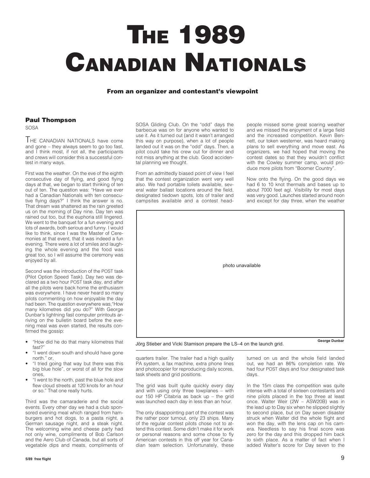## **THE 1989 CANADIAN NATIONALS**

#### **From an organizer and contestant's viewpoint**

#### **Paul Thompson**

SOSA

THE CANADIAN NATIONALS have come and gone – they always seem to go too fast, and I think most, if not all, the participants and crews will consider this a successful contest in many ways.

First was the weather. On the eve of the eighth consecutive day of flying, and good flying days at that, we began to start thinking of ten out of ten. The question was: "Have we ever had a Canadian Nationals with ten consecutive flying days?" I think the answer is no. That dream was shattered as the rain greeted us on the morning of Day nine. Day ten was rained out too, but the euphoria still lingered. We went to the banquet for a fun evening and lots of awards, both serious and funny. I would like to think, since I was the Master of Ceremonies at that event, that it was indeed a fun evening. There were a lot of smiles and laughing the whole evening and the food was great too, so I will assume the ceremony was enjoyed by all.

Second was the introduction of the POST task (Pilot Option Speed Task). Day two was declared as a two hour POST task day, and after all the pilots were back home the enthusiasm was everywhere. I have never heard so many pilots commenting on how enjoyable the day had been. The question everywhere was,"How many kilometres did you do?" With George Dunbar's lightning fast computer printouts arriving on the bulletin board before the evening meal was even started, the results confirmed the gossip:

- "How did he do that many kilometres that fast?
- "I went down south and should have gone north." or,
- "I tried going that way but there was this big blue hole", or worst of all for the slow ones,
- "I went to the north, past the blue hole and flew cloud streets at 120 knots for an hour or so." That one really hurts.

Third was the camaraderie and the social events. Every other day we had a club sponsored evening meal which ranged from hamburgers and hot dogs, to a pasta night, a German sausage night, and a steak night. The welcoming wine and cheese party had not only wine, compliments of Bob Carlson and the Aero Club of Canada, but all sorts of vegetable dips and meats, compliments of

SOSA Gliding Club. On the "odd" days the barbecue was on for anyone who wanted to use it. As it turned out (and it wasn't arranged this way on purpose), when a lot of people landed out it was on the "odd" days. Then, a pilot could take his crew out for dinner and not miss anything at the club. Good accidental planning we thought.

From an admittedly biased point of view I feel that the contest organization went very well also. We had portable toilets available, several water ballast locations around the field, designated tiedown spots, lots of trailer and campsites available and a contest headpeople missed some great soaring weather and we missed the enjoyment of a large field and the increased competition. Kevin Bennett, our token westerner, was heard making plans to sell everything and move east. As organizers, we had hoped that moving the contest dates so that they wouldn't conflict with the Cowley summer camp, would produce more pilots from "Boomer Country".

Now onto the flying. On the good days we had 6 to 10 knot thermals and bases up to about 7000 feet agl. Visibility for most days was very good. Launches started around noon and except for day three, when the weather



Jörg Stieber and Vicki Stamison prepare the LS–4 on the launch grid.

quarters trailer. The trailer had a high quality PA system, a fax machine, extra phone lines and photocopier for reproducing daily scores, task sheets and grid positions.

The grid was built quite quickly every day and with using only three towplanes – with our 150 HP Citabria as back up – the grid was launched each day in less than an hour.

The only disappointing part of the contest was the rather poor turnout, only 23 ships. Many of the regular contest pilots chose not to attend this contest. Some didn't make it for work or personal reasons and some chose to fly American contests in this off year for Canadian team selection. Unfortunately, these

turned on us and the whole field landed out, we had an 86% completion rate. We had four POST days and four designated task days.

In the 15m class the competition was quite intense with a total of sixteen contestants and nine pilots placed in the top three at least once. Walter Weir (2W – ASW20B) was in the lead up to Day six when he slipped slightly to second place, but on Day seven disaster struck when Walter did the whole flight and won the day, with the lens cap on his camera. Needless to say his final score was zero for the day and this dropped him back to sixth place. As a matter of fact when I added Walter's score for Day seven to the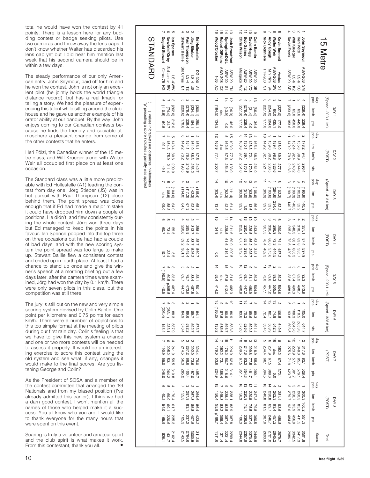total he would have won the contest by 41 points. There is a lesson here for any budding contest or badge seeking pilots. Use two cameras and throw away the lens caps. I don't know whether Walter has discarded his lens cap yet but I did hear him mention last week that his second camera should be in within a few days.

The steady performance of our only American entry, John Seymour, paid off for him and he won the contest. John is not only an excellent pilot (he jointly holds the world triangle distance record), but has a real knack for telling a story. We had the pleasure of experiencing this talent while sitting around the clubhouse and he gave us another example of his orator ability at our banquet. By the way, John enjoys coming to our Canadian contests because he finds the friendly and sociable atmosphere a pleasant change from some of the other contests that he enters.

Heri Pölzl, the Canadian winner of the 15 metre class, and Wilf Krueger along with Walter Weir all occupied first place on at least one occasion.

The Standard class was a little more predictable with Ed Hollestelle (A1) leading the contest from day one. Jörg Stieber (JS) was in hot pursuit with Paul Thompson (T2) close behind them. The point spread was close enough that if Ed had made a major mistake it could have dropped him down a couple of positions. He didn't, and flew consistently during the whole contest. Jörg won three days but Ed managed to keep the points in his favour. Ian Spence popped into the top three on three occasions but he had had a couple of bad days, and with the new scoring system the point spread was too large to make up. Stewart Baillie flew a consistent contest and ended up in fourth place. At least I had a chance to stand up once and give the winner's speech at a morning briefing but a few days later, after the camera times were examined, Jörg had won the day by 0.1 km/h. There were only seven pilots in this class, but the competition was still there.

The jury is still out on the new and very simple scoring system devised by Colin Bantin. One point per kilometre and 0.75 points for each km/h. There were a number of objections to this too simple format at the meeting of pilots during our first rain day. Colin's feeling is that we have to give this new system a chance and one or two more contests will be needed to assess it properly. It would be an interesting exercise to score this contest using the old system and see what, if any, changes it would make to the final scores. Are you listening George and Colin?

As the President of SOSA and a member of the contest committee that arranged the '89 Nationals and from my biased position (I've already admitted this earlier), I think we had a darn good contest. I won't mention all the names of those who helped make it a success. You all know who you are. I would like to thank everyone for the many hours that were spent on this event.

Soaring is truly a volunteer and amateur sport and the club spirit is what makes it work. From this contestant, thank you all. •

| STANDARD                                                                                               | <b>√ თ თ</b><br>Dugald Stewart<br>lan Spence<br>Newfield/Kirby                        | 5 W W<br><b>Stewart Baillie</b><br>Paul Thompson<br>Jörg Stieber<br>Ed Hollestelle                                                        | 하<br>효효<br>$\overline{\circ}$<br>Springford/D&L<br><b>Jock Proudfoot</b><br>Wood/Crocker<br>Robert DiPietro                                                              | ಸ<br>≐ ㅎ ◎<br><b>Chris Wilson</b><br><b>Bob Gairns</b><br>David Hogg<br><b>Colin Bantin</b>                                                                                                                                                    | $\sim$ 0 $\sigma$<br>$^\infty$<br><b>Nick Bonnière</b><br>Andy Gough<br>Walter Weir<br><b>Kevin Bennett</b>                                                 | $ \omega$ $\omega$ $-$<br>Wilf Krueger<br>Heri Pölzl<br>John Seymour<br><b>David Frank</b>                                                 | 5 Metre                                                             |
|--------------------------------------------------------------------------------------------------------|---------------------------------------------------------------------------------------|-------------------------------------------------------------------------------------------------------------------------------------------|--------------------------------------------------------------------------------------------------------------------------------------------------------------------------|------------------------------------------------------------------------------------------------------------------------------------------------------------------------------------------------------------------------------------------------|-------------------------------------------------------------------------------------------------------------------------------------------------------------|--------------------------------------------------------------------------------------------------------------------------------------------|---------------------------------------------------------------------|
|                                                                                                        | Std Jantar BW<br>Cirrus 75 HG<br>$N$ MM $+$ S <sub>1</sub>                            | Std Cirrus<br>DG-300<br>$F-S1$<br>$F-S1$<br>8 12 E<br>$\geq$                                                                              | <b>ASW-20B</b><br><b>ASW-20</b><br><b>ASW-20</b><br>$1 - 35$<br><b>PO</b><br>Z <sub>0</sub><br>$\overline{a}$ 5                                                          | Mosquito<br><b>ASW-20</b><br><b>ASW-20</b><br><b>ASW-20</b><br>æ g ¤                                                                                                                                                                           | <b>ASW-20B</b><br>Mini Nim<br><b>PIK-20B</b><br>Ventus<br>$\lessapprox$ $\gtrsim$<br>$\frac{8}{1}$<br>$^{94}$                                               | <b>ASW-20B</b><br>ASW-20<br>$9 - S$<br>$9 - S$<br>Σ g<br>$\frac{2}{5}$                                                                     |                                                                     |
| "preceding a score indicates a penalty was applied<br>) values in brackets are distances in kilometres | $\sim$ $\omega$<br>თ<br>(110.5)<br>(262.0)<br>(74.4)<br>212.0<br>24.7<br><b>60.5</b>  | UI N<br>$\rightarrow$<br>(220.6)<br>(278.4)<br>(234.1)<br>(300.1)<br>250.1<br>170.6<br>228.4<br>184.1                                     | $\Rightarrow$<br>$\overrightarrow{4}$<br>$\vec{5}$<br>(184.5)<br>(43.9)<br>(96.0)<br>qnc<br>134.5<br>46.0<br>0.0                                                         | $\frac{1}{4}$<br>$4\,\omega$<br>(227.0)<br>(278.4)<br>(31.4)<br>(86.4)<br>0'221<br>228.4<br>36.4<br>0.0                                                                                                                                        | ${}^{\circ}$<br>$\circ$<br>$\omega$<br>$\infty$<br>(227.0)<br>(227.0)<br>(254.0)<br>0.09<br>204.0<br>435.1<br>0:221<br>0:221                                | $\overline{\phantom{0}}$<br>$\sim$ $\sim$<br>∸<br>(233.6)<br>(228.4)<br>0.99<br>63.6<br>183.6<br>450.0<br>445.8<br>528.4                   | (Speed - 303.1 km)<br>day<br>pos<br>DAY1<br>km/h<br>S1d             |
|                                                                                                        | ┙<br>G<br>4<br>154.3<br>143.4<br>99.1<br>90.6<br>75.9<br>211.4<br>209.0<br>49.1       | G<br>ω<br>$\rightarrow$<br>N<br>149.2<br>154.1<br>161.0<br>156.1<br>88.3<br>97.5<br>76.5<br>73.2<br>216.9<br>253.2<br>242.7<br>193.5      | $\vec{v}$<br>ທີ່<br>163.9<br>162.5<br>103.9<br>quc<br>87.6<br>77.4<br>77.0<br>200.7<br>254.8<br>133.9                                                                    | $\frac{1}{4}$ $\frac{1}{4}$ $\frac{1}{6}$<br>$\overline{a}$<br>130.1<br>128.3<br>160.8<br>165.4<br>$1.56$<br>69.1<br>87.2<br>88.3<br>251.0<br>170.1<br>170.8<br>261.0                                                                          | $\vec{o}$<br>$\omega$<br>$\circ$<br>$\rightarrow$<br>149.2<br>159.0<br>189.4<br>188.0<br>88.8<br>63.9<br>1.28<br>80.2<br>236.5<br>326.6<br>221.7<br>127.1   | ⇉<br>${}^{\circ}$<br>$\sim$ $\sim$<br>149.2<br>155.6<br>152.4<br>178.2<br>92.4<br>88.9<br>94.4<br>79.8<br>218.3<br>243.2<br>244.0<br>296.4 | day<br>Nos<br>ξ<br>DAY <sub>2</sub><br>(POST)<br>km/h<br>S1d        |
|                                                                                                        | <b>၂ ပ စ</b><br>(108.8)<br>(104.6)<br>gnc<br>8.8<br>64.0<br>0.60                      | $\sigma$ 4<br>$\rightarrow$<br>$\omega$<br>(142.3)<br>(114.0)<br>(115.4)<br>(117.3)<br>64.0<br>67.3<br>82.3<br>65.4                       | $\frac{1}{4}$<br>$\vec{o}$ or<br>(111.4)<br>(92.3)<br>(63.4)<br>qnc<br>51.4<br>13.4<br>42.3                                                                              | $\vec{p}$ or $\vec{p}$ or<br>(9.901)<br>(63.6)<br>(0.13)<br>(83.9)<br>33.9<br>9'99<br>13.6<br>$\vec{0}$                                                                                                                                        | ⇉<br>$_{\infty}$<br>$\overline{\phantom{0}}$<br>(103.6)<br>(284.6)<br>(102.2)<br>(6.68)<br>234.6<br>53.6<br>39.9<br>22.2                                    | $4\omega$<br>$\infty$ $\infty$<br>(190.7)<br>(190.3)<br>(102.2)<br>(6.061)<br>140.7<br>140.3<br>140.9<br>522                               | day<br>Sep<br>(Speed - 413.6 km)<br>DAY3<br>έm<br>pts               |
|                                                                                                        | $\sigma$ and<br>60.7<br>73.4<br>55.5<br>5.54<br>10.7                                  | 4<br>$\omega$ $\sim$<br>313.7<br>285.8<br>358.4<br>220.6<br><b>29.2</b><br>83.7<br>74.4<br>85.7<br>226.2<br>448.4<br>560.7<br>301.1       | $\vec{5}$<br>$\overline{4}$<br>⋣<br>228.5<br>211.6<br>34.9<br>quc<br>61.6<br>609<br>319.1<br>290.5<br>0.0                                                                | $\overrightarrow{a}$ $\overrightarrow{a}$<br>$\vec{\circ}$<br>252.1<br>226.5<br>220.4<br>243.8<br>26.2<br>E7.7<br>55.8<br>63.3<br>293.7<br>372.7<br>293.4<br>348.1                                                                             | u ω<br>$\sim$ $\circ$<br>336.4<br>296.9<br>307.5<br>590.9<br>86.0<br>73.3<br>76.4<br>74.4<br>575.6<br>444.5<br>482.3<br>457.2                               | $^\infty$<br>$\sim$ $\sim$<br>348.3<br>318.7<br>295.3<br>351.1<br>83.8<br>72.6<br>188<br>67.4<br>605.3<br>535.7<br>439.8<br>625.9          | day<br>Nos<br>È<br>(POST)<br>DAY4<br>km/h<br><b>Dis</b>             |
|                                                                                                        | $\sim$ 0 $\omega$<br>(190.5)<br>60.5<br>83.3<br><b>p395.5</b><br>487.4<br>140.5       | $M = 0$<br>/69<br>78.7<br>83.4<br>1.88<br>473.6<br>487.5<br>447.3<br>501.4                                                                | $\frac{1}{4}$<br>$\vec{a}$ $\alpha$<br>57.8<br>58.4<br>81.6<br>ginc<br>414.2<br>412.4<br>482.3                                                                           | $\overrightarrow{a}$ $\overrightarrow{b}$ $\overrightarrow{c}$<br>1.18<br>1.18<br>89.3<br>29.7<br>480.8<br>447.3<br>480.9<br>504.9                                                                                                             | $40\overline{a}$<br>969<br>89.3<br>89.2<br>73.0<br>505.0<br>504.6<br>457.1<br>447.2                                                                         | $\sim$ 0 0 $-$<br>87.4<br>82.2<br>82.3<br>83.8<br>488.6<br>499.3<br>498.7<br>513.8                                                         | day<br>pos<br>(Speed - 293.1 km)<br>km/h<br>DAY <sub>5</sub><br>Sid |
|                                                                                                        | $\sim$ 0 $\omega$<br>(283.1)<br>(203.4)<br>88.3<br>587.9<br>233.1<br>153.4            | $\omega$ $\sim$ $\omega$ 4<br>84.1<br>89.98<br>84.9<br>573.7<br>592.2<br>592.2<br>576.4                                                   | 하 ㅇ ㅎ ㅎ<br>(185.2)<br>87.6<br>86.9<br>90.9<br>585.6<br>135.2<br>583.3                                                                                                    | $\equiv$ $\vec{\theta}$ $\sim$ $\infty$<br>89<br>89 26<br>83<br>83<br>572.0<br>591.4<br>592.3<br>526.6                                                                                                                                         | $\frac{1}{4}$ $\frac{1}{5}$ $\frac{1}{6}$ $\frac{1}{8}$<br>106.5<br>$\begin{array}{c} 74.8 \\ 72.7 \\ 72.4 \end{array}$<br>649.6<br>542.3<br>568.9<br>534.3 | $4 - \omega$ ro<br>108.3<br>105.0<br>110.5<br>9<br>9999<br>908.5<br>p653.3<br>E44.7                                                        | day<br>pos<br>(Speed - 338.8 km)<br>DAY <sub>6</sub><br>È<br>Sid    |
|                                                                                                        | 401<br>205.2<br>241.9<br>6061<br>59.5<br>53.1<br>55.0<br>310.8<br>264.2<br>246.0      | u w w<br>$\overline{\phantom{a}}$<br>214.5<br>292.0<br>324.4<br>267.2<br>56.3<br>9'89<br>73.6<br>0.97<br>457.0<br>400.4<br>285.2<br>495.7 | $\frac{1}{4}$ $\frac{1}{6}$ $\frac{1}{4}$<br>179.0<br>252.2<br>224.0<br>178.2<br>62.6<br>50.7<br>73.1<br>53.6<br>386.4<br>224.9<br>$314.1$<br>$218.6$                    | 5005<br>239.5<br>218.9<br>299.6<br>247.6<br>5<br>6<br>5<br>6<br>5<br>7<br>8<br>5<br>7<br>8<br>7<br>9<br>7<br>9<br>2<br>2<br>2<br>2<br>2<br>2<br>2<br>2<br>2<br>2<br>2<br>2<br>2<br>2<br><br>2<br><br>2<br><br>481.7<br>354.3<br>351.1<br>590.1 | ပေးစက်ာက<br>dnc<br>261.9<br>252.2<br>264.4<br>1.89<br>67.5<br>67.4<br>$372.1$<br>$388.6$<br>394.5                                                           | $\alpha$ + $\vec{\alpha}$ 4<br>223.9<br>275.6<br>317.6<br>348.0<br>57.1<br>71.9<br>$82.1$<br>$85.7$<br>301.7<br>528.4<br>576.1             | day<br>pos<br>Ê<br>(POST)<br>DAY7<br>km/h<br>S1d                    |
|                                                                                                        | 4 10 10<br>176.4<br>169.0<br>140.2<br>60.1<br>21.7<br>54.0<br>220.6<br>235.3<br>165.9 | $\sim$ $\sim$ $\sim$<br>$\overline{\phantom{a}}$<br>267.9<br>287.9<br>264.6<br>155.3<br>85.8<br>96.4<br>337.3<br>423.2<br>407.5<br>105.3  | $\vec{a}$ $\sim$ $\infty$<br>245.3<br>238.1<br>238.4<br>156.4<br>$\begin{array}{c} 83.2 \\ 83.8 \end{array}$<br>83.9<br>83.5<br><b>p188.7</b><br>399.4<br>387.4<br>387.8 | $\frac{1}{5}$ $\frac{1}{6}$ $\frac{1}{6}$<br>247.8<br>220.8<br>220.9<br>156.3<br>79.5<br>75.5.1<br>75.1<br>336.8<br>337.4<br>360.5<br>106.3                                                                                                    | $x$ 4 $4$ $0$<br>281.4<br>262.3<br>230.8<br>240.8<br>81.5<br>69.7<br>93.6<br>246.7<br>387.0<br>457.2<br>489.8                                               | $\omega$ on $\infty$ $\rightarrow$<br>279.7<br>258.7<br>300.3<br>93.0<br>95.9<br><b>2.001</b><br>85.0<br>456.9<br>411.5<br>484.8<br>551.3  | day<br>Nos<br>ξ<br>(POST)<br>DAY 8<br>km/h<br><b>Dts</b>            |
|                                                                                                        | 2102.4<br>1431.7<br>1928                                                              | 3112.9<br>3000.5<br>2764.6<br>2143.5                                                                                                      | 2299.4<br>2231.4<br>1371.4<br>1311.6                                                                                                                                     | 2344.8<br>2449.5<br>2370.4<br>2357.9                                                                                                                                                                                                           | 2979.7<br>2945.2<br>2721.0<br>2693.8                                                                                                                        | 3501.8<br>3417.3<br>3342.5<br>2986.1                                                                                                       | Score<br>Total                                                      |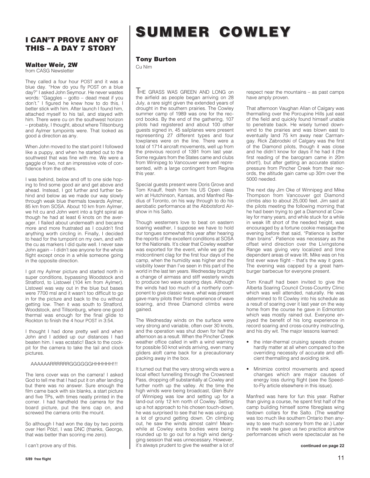#### **I CAN'T PROVE ANY OF THIS – A DAY 7 STORY**

#### **Walter Weir, 2W**

from CASG Newsletter

They called a four hour POST and it was a blue day. "How do you fly POST on a blue day?" I asked John Seymour. He never wastes words: "Gaggles – gotto – dead meat if you don't." I figured he knew how to do this, I better stick with him. After launch I found him, attached myself to his tail, and stayed with him. There were cu on the southwest horizon – probably, I thought, about where Tillsonburg and Aylmer turnpoints were. That looked as good a direction as any.

When John moved to the start point I followed like a puppy, and when he started out to the southwest that was fine with me. We were a gaggle of two, not an impressive vote of confidence from the others.

I was behind, below and off to one side hoping to find some good air and get above and ahead. Instead, I got further and further behind and below as we made our way slowly through weak blue thermals towards Aylmer, 85 km from SOSA. About 10 km from Aylmer, we hit cu and John went into a tight spiral as though he had at least 6 knots on the averager. I flailed about underneath and became more and more frustrated as I couldn't find anything worth circling in. Finally, I decided to head for the turnpoint on my own, and with the cu as markers I did quite well. I never saw John again – I didn't see anyone for the whole flight except once in a while someone going in the opposite direction.

I got my Aylmer picture and started north in super conditions, bypassing Woodstock and Stratford, to Listowel (104 km from Aylmer). Listowel was way out in the blue but bases were 7700 msl and it wasn't too difficult to go in for the picture and back to the cu without getting low. Then it was south to Stratford, Woodstock, and Tillsonburg, where one good thermal was enough for the final glide to Rockton to finish the 4 hour POST in 3:54.

I thought I had done pretty well and when John and I added up our distances I had beaten him. I was ecstatic! Back to the cockpit for the camera to take the tail and clock pictures.

#### AAAAAARRRRRRGGGGGGHHHHHH!!!

The lens cover was on the camera! I asked God to tell me that I had put it on after landing but there was no answer. Sure enough the film came back with six blanks, a start picture and five TPs, with times neatly printed in the corner. I had handheld the camera for the board picture, put the lens cap on, and screwed the camera onto the mount.

So although I had won the day by two points over Heri Pölzl, I was DNC (thanks, George, that was better than scoring me zero).

I can't prove any of this.

## **SUMMER COWLEY SUMMER COWLEY**

#### **Tony Burton**

Cu Nim

THE GRASS WAS GREEN AND LONG on the airfield as people began arriving on 28 July, a rare sight given the extended years of drought in the southern prairies. The Cowley summer camp of 1989 was one for the record books. By the end of the gathering, 107 pilots had registered and about 100 other guests signed in, 45 sailplanes were present representing 27 different types and four towplanes were on the line. There were a total of 1714 aircraft movements, well up from the previous record of 1391 from last year. Some regulars from the States came and clubs from Winnipeg to Vancouver were well represented, with a large contingent from Regina this year.

Special guests present were Doris Grove and Tom Knauff, fresh from his US Open class win at Hutchinson, Kansas, and Manfred Radius of Toronto, on his way through to do his aerobatic performance at the Abbotsford Airshow in his Salto.

Though westerners love to beat on eastern soaring weather, I suppose we have to hold our tongues somewhat this year after hearing the reports of the excellent conditions at SOSA for the Nationals. It's clear that Cowley weather was exported for the event, while we got the midcontinent clag for the first four days of the camp, when the humidity was higher and the visibility lower than I've seen in this part of the world in the last ten years. Wednesday brought a change of airmass and stiff westerly winds to produce two wave soaring days. Although the winds had too much of a northerly component to give classic wave, what was present gave many pilots their first experience of wave soaring, and three Diamond climbs were gained.

The Wednesday winds on the surface were very strong and variable, often over 30 knots, and the operation was shut down for half the afternoon as a result. When the Pincher Creek weather office called in with a wind warning for possible 50 knot winds arriving, even many gliders aloft came back for a precautionary packing away in the box.

It turned out that the very strong winds were a local effect funnelling through the Crowsnest Pass, dropping off substantially at Cowley and further north up the valley. At the time the high winds were being broadcast, Glen Buhr of Winnipeg was low and setting up for a land-out only 12 km north of Cowley. Setting up a hot approach to his chosen touch-down, he was surprised to see that he was using up a lot of ground getting down. On climbing out, he saw the winds almost calm! Meanwhile at Cowley extra bodies were being rounded up to go out for a high wind derigging session that was unnecessary. However, it's always prudent to give the weather a lot of

respect near the mountains – as past camps have amply proven.

That afternoon Vaughan Allan of Calgary was thermalling over the Porcupine Hills just east of the field and quickly found himself unable to penetrate back. He wisely turned downwind to the prairies and was blown east to eventually land 75 km away near Carmangay. Rick Zabrodski of Calgary was the first of the Diamond pilots, though it was close and he didn't know for days if he had it (the first reading of the barogram came in 20m short!), but after getting an accurate station pressure from Pincher Creek from their records, the altitude gain came up 30m over the 5000 needed.

The next day Jim Oke of Winnipeg and Mike Thompson from Vancouver got Diamond climbs also to about 25,000 feet. Jim said at the pilots meeting the following morning that he had been trying to get a Diamond at Cowley for many years, and while stuck for a while in weak lift short of the needed height, was encouraged by a fortune cookie message the evening before that said, "Patience is better than brains". Patience was necessary as the offset wind direction over the Livingstone Range was giving very localized and time dependent areas of wave lift. Mike was on his first ever wave flight – that's the way it goes. The evening was capped by a great hamburger barbecue for everyone present.

Tom Knauff had been invited to give the Alberta Soaring Council Cross-Country Clinic which was well attended, naturally. He was determined to fit Cowley into his schedule as a result of soaring over it last year on the way home from the course he gave in Edmonton which was mostly rained out. Everyone enjoyed the benefit of his long experience in record soaring and cross-country instructing, and his dry wit. The major lessons learned:

- the inter-thermal cruising speeds chosen hardly matter at all when compared to the overriding necessity of accurate and efficient thermalling and avoiding sink.
- Minimize control movements and speed changes which are major causes of energy loss during flight (see the Speedto-Fly article elsewhere in this issue).

Manfred was here for fun this year. Rather than giving a course, he spent first half of the camp building himself some fibreglass wing tiedown collars for the Salto. (The weather was too much like southern Ontario then anyway to see much scenery from the air.) Later in the week he gave us two practice airshow performances which were spectacular as he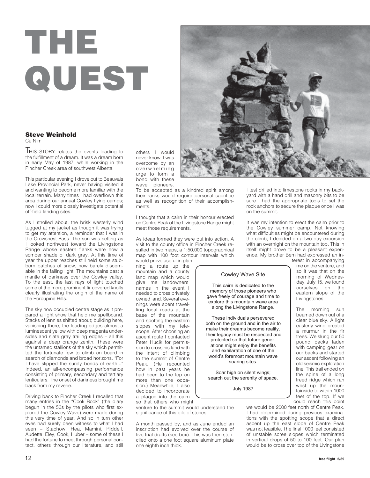# **THE QUEST**

#### **Steve Weinhold** Cu Nim

**HIS STORY relates the events leading to** the fulfillment of a dream. It was a dream born in early May of 1987, while working in the Pincher Creek area of southwest Alberta.

This particular evening I drove out to Beauvais Lake Provincial Park, never having visited it and wanting to become more familiar with the local terrain. Many times I had overflown this area during our annual Cowley flying camps; now I could more closely investigate potential off-field landing sites.

As I strolled about, the brisk westerly wind tugged at my jacket as though it was trying to get my attention, a reminder that I was in the Crowsnest Pass. The sun was setting as I looked northwest toward the Livingstone Range whose eastern flanks were now a somber shade of dark gray. At this time of year the upper reaches still held some stubborn patches of snow, now barely discernable in the failing light. The mountains cast a mantle of darkness over the Cowley valley. To the east, the last rays of light touched some of the more prominent fir covered knolls clearly illustrating the origin of the name of the Porcupine Hills.

The sky now occupied centre stage as it prepared a light show that held me spellbound. Stacks of lennies shifted about; building here, vanishing there, the leading edges almost a luminescent yellow with deep magenta undersides and slate gray trailing edges – all this against a deep orange zenith. These were the untamed stallions of the sky which permitted the fortunate few to climb on board in search of diamonds and broad horizons. "For I have slipped the surely bonds of earth..." Indeed, an all-encompassing performance consisting of primary, secondary and tertiary lenticulars. The onset of darkness brought me back from my reverie.

Driving back to Pincher Creek I recalled that many entries in the "Cook Book" (the diary begun in the 50s by the pilots who first explored the Cowley Wave) were made during this very time of year. And so in turn other eyes had surely been witness to what I had seen – Stachow, Hea, Mamini, Riddell, Audette, Eley, Cook, Huber – some of these I had the fortune to meet through personal contact, others through our literature, and still

others I would never know. I was overcome by an overwhelming urge to form a bond with these wave pioneers.

To be accepted as a kindred spirit among their ranks would require personal sacrifice as well as recognition of their accomplishments.

I thought that a cairn in their honour erected on Centre Peak of the Livingstone Range might meet those requirements.

As ideas formed they were put into action. A visit to the county office in Pincher Creek resulted in two maps, a 1:50,000 topographical map with 100 foot contour intervals which

would prove useful in planning a route up the mountain and a county land map which would give me landowners' names in the event I needed to cross privately owned land. Several evenings were spent travelling local roads at the base of the mountain and spotting the eastern slopes with my telescope. After choosing an ascent route I contacted Peter Hucik for permission to cross his land with the intent of climbing to the summit of Centre Peak. (He recounted how in past years he had been to the top on more than one occasion.) Meanwhile, I also decided to incorporate a plaque into the cairn so that others who might

venture to the summit would understand the significance of this pile of stones.

A month passed by, and as June ended an inscription had evolved over the course of five trial drafts (see box). This was then stenciled onto a one foot square aluminum plate one eighth inch thick.

I test drilled into limestone rocks in my backyard with a hand drill and masonry bits to be sure I had the appropriate tools to set the rock anchors to secure the plaque once I was on the summit.

It was my intention to erect the cairn prior to the Cowley summer camp. Not knowing what difficulties might be encountered during the climb, I decided on a two day excursion with an overnight on the mountain top. This in itself might prove to be a pleasant experience. My brother Bern had expressed an in-

#### Cowley Wave Site

This cairn is dedicated to the memory of those pioneers who gave freely of courage and time to explore this mountain wave area along the Livingstone Range.

These individuals persevered both on the ground and in the air to make their dreams become reality. Their legacy must be respected and protected so that future generations might enjoy the benefits and exhilaration of one of the world's foremost mountain wave soaring sites.

Soar high on silent wings; search out the serenity of space.

July 1987

terest in accompanying me on the venture, and so it was that on the morning of Wednesday, July 15, we found<br>ourselves on the ourselves on eastern slope of the Livingstones.

The morning sun beamed down out of a clear blue sky. A light easterly wind created a murmur in the fir trees. We slung our 50 pound packs laden with camping gear on our backs and started our ascent following an old seismic exploration line. This trail ended on the spine of a long treed ridge which ran west up the mountainside to within 1000 feet of the top. If we could reach this point

we would be 2000 feet north of Centre Peak. I had determined during previous examinations with the spotting scope that a direct ascent up the east slope of Centre Peak was not feasible. The final 1000 feet consisted of unstable scree slopes which terminated in vertical drops of 50 to 100 feet. Our plan would be to cross over top of the Livingstone

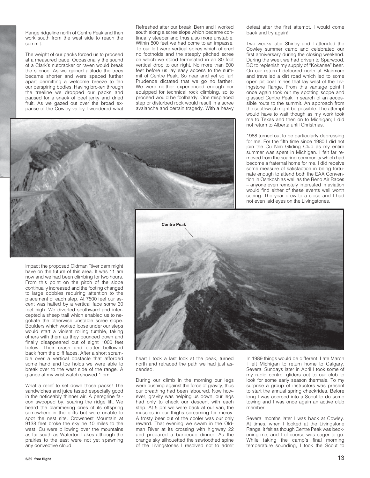Range ridgeline north of Centre Peak and then work south from the west side to reach the summit.

The weight of our packs forced us to proceed at a measured pace. Occasionally the sound of a Clark's nutcracker or raven would break the silence. As we gained altitude the trees became shorter and were spaced further apart permitting a welcome breeze to fan our perspiring bodies. Having broken through the treeline we dropped our packs and paused for a snack of beef jerky and dried fruit. As we gazed out over the broad expanse of the Cowley valley I wondered what Refreshed after our break, Bern and I worked south along a scree slope which became continually steeper and thus also more unstable. Within 800 feet we had come to an impasse. To our left were vertical spires which offered no footholds and the steeply pitched scree on which we stood terminated in an 80 foot vertical drop to our right. No more than 600 feet before us lay easy access to the summit of Centre Peak. So near and yet so far! Prudence dictated that we go no farther. We were neither experienced enough nor equipped for technical rock climbing, so to proceed would be foolhardy. One misplaced step or disturbed rock would result in a scree avalanche and certain tragedy. With a heavy

defeat after the first attempt. I would come back and try again!

Two weeks later Shirley and I attended the Cowley summer camp and celebrated our first anniversary during the closing weekend. During the week we had driven to Sparwood, BC to replenish my supply of "Kokanee" beer. On our return I detoured north at Blairmore and travelled a dirt road which led to some open pit coal mines that lay west of the Livingstone Range. From this vantage point I once again took out my spotting scope and glassed Centre Peak in search of an accessible route to the summit. An approach from the southwest might be possible. The attempt would have to wait though as my work took me to Texas and then on to Michigan; I did not return to Alberta until Christmas.

1988 turned out to be particularly depressing for me. For the fifth time since 1980 I did not join the Cu Nim Gliding Club as my entire summer was spent in Michigan. I felt far removed from the soaring community which had become a fraternal home for me. I did receive some measure of satisfaction in being fortunate enough to attend both the EAA Convention in Oshkosh as well as the Reno Air Races – anyone even remotely interested in aviation would find either of these events well worth seeing. The year drew to a close and I had not even laid eyes on the Livingstones.



heart I took a last look at the peak, turned north and retraced the path we had just ascended.

During our climb in the morning our legs were pushing against the force of gravity, thus our breathing had been laboured. Now however, gravity was helping us down, our legs had only to check our descent with each step. At 5 pm we were back at our van, the muscles in our thighs screaming for mercy. A frosty beer out of the cooler was our only reward. That evening we swam in the Oldman River at its crossing with highway 22 and prepared a barbecue dinner. As the orange sky silhouetted the sawtoothed spine of the Livingstones I resolved not to admit

In 1989 things would be different. Late March I left Michigan to return home to Calgary. Several Sundays later in April I took some of my radio control gliders out to our club to look for some early season thermals. To my surprise a group of instructors was present to start the annual spring checkrides. Before long I was coerced into a Scout to do some towing and I was once again an active club member.

Several months later I was back at Cowley. At times, when I looked at the Livingstone Range, it felt as though Centre Peak was beckoning me, and I of course was eager to go. While taking the camp's final morning temperature sounding, I took the Scout to



What a relief to set down those packs! The sandwiches and juice tasted especially good in the noticeably thinner air. A peregrine falcon swooped by, soaring the ridge lift. We heard the clammering cries of its offspring somewhere in the cliffs but were unable to spot the nest site. Crowsnest Mountain at 9138 feet broke the skyline 10 miles to the west. Cu were billowing over the mountains as far south as Waterton Lakes although the prairies to the east were not yet spawning any convective cloud.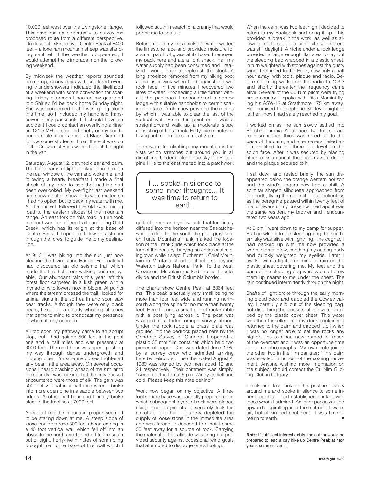10,000 feet west over the Livingstone Range. This gave me an opportunity to survey my proposed route from a different perspective. On descent I skirted over Centre Peak at 8400 feet – a lone ram mountain sheep was standing sentinel. If the weather cooperated, I would attempt the climb again on the following weekend.

By midweek the weather reports sounded promising, sunny days with scattered evening thundershowers indicated the likelihood of a weekend with some convection for soaring. Friday afternoon I packed my gear and told Shirley I'd be back home Sunday night. She was concerned that I was going alone this time, so I included my handheld transceiver in my packsack. If I should have an accident I could contact an overflying airliner on 121.5 MHz. I stopped briefly on my southbound route at our airfield at Black Diamond to tow some students. From there it was on to the Crowsnest Pass where I spent the night in the van.

Saturday, August 12, dawned clear and calm. The first beams of light beckoned in through the rear window of the van and woke me, and following a hearty breakfast I made a final check of my gear to see that nothing had been overlooked. My overflight last weekend had shown that all snowfields were melted so I had no option but to pack my water with me. At Blairmore I followed the old coal mining road to the eastern slopes of the mountain range. An east fork on this road in turn took me northward on a jeep trail paralleling Gold Creek, which has its origin at the base of Centre Peak. I hoped to follow this stream through the forest to guide me to my destination.

At 9:15 I was hiking into the sun just now clearing the Livingstone Range. Fortunately I had discovered an old seismic trail which made the first half hour walking quite enjoyable. Our abundant rains this year left the forest floor carpeted in a lush green with a myriad of wildflowers now in bloom. At points where the stream crossed the trail I looked for animal signs in the soft earth and soon saw bear tracks. Although they were only black bears, I kept up a steady whistling of tunes that came to mind to broadcast my presence to whom it may concern.

All too soon my pathway came to an abrupt stop, but I had gained 500 feet in the past one and a half miles and was presently at 6000 feet. The next hour was spent pushing my way through dense undergrowth and tripping often; I'm sure my curses frightened any bear in the area away. On several occasions I heard crashing ahead of me similar to the sounds I was making, but the only tracks I encountered were those of elk. The gain was 500 feet vertical in a half mile when I broke into more open pine in a saddle between two ridges. Another half hour and I finally broke clear of the treeline at 7000 feet.

Ahead of me the mountain proper seemed to be staring down at me. A steep slope of loose boulders rose 800 feet ahead ending in a 40 foot vertical wall which fell off into an abyss to the north and trailed off to the south out of sight. Forty-five minutes of scrambling brought me to the base of this wall which I

followed south in search of a cranny that would permit me to scale it.

Before me on my left a trickle of water wetted the limestone face and provided moisture for a small patch of grass at its base. I removed my pack here and ate a light snack. Half my water supply had been consumed and I realized I would have to replenish the stock. A long shoelace removed from my hiking boot acted as a wick when held against the wet rock face. In five minutes I recovered two litres of water. Proceeding a little further without the packsack I encountered a narrow ledge with suitable handholds to permit scaling the face. A chimney provided the means by which I was able to clear the last of the vertical wall. From this point on it was a straightforward walk up a moderate slope consisting of loose rock. Forty-five minutes of hiking put me on the summit at 2 pm.

The reward for climbing any mountain is the vista which stretches out around you in all directions. Under a clear blue sky the Porcupine Hills to the east melted into a patchwork

#### I ... spoke in silence to some inner thoughts... It was time to return to earth.

quilt of green and yellow until that too finally diffused into the horizon near the Saskatchewan border. To the south the pale gray scar on Turtle Mountains' flank marked the location of the Frank Slide which took place at the turn of the century, burying an entire coal mining town while it slept. Further still, Chief Mountain in Montana stood sentinel just beyond Waterton Lakes National Park. To the west, Crowsnest Mountain marked the continental divide and the British Columbia border.

The charts show Centre Peak at 8364 feet msl. This peak is actually very small being no more than four feet wide and running northsouth along the spine for no more than twenty feet. Here I found a small pile of rock rubble with a post lying across it. The post was wrapped in a faded orange survey ribbon. Under the rock rubble a brass plate was grouted into the bedrock placed here by the Geodetic Survey of Canada. I opened a plastic 35 mm film container which held two pieces of paper. One was dated June 1985 by a survey crew who admitted arriving here by helicopter. The other dated August 4, 1980 was signed by two men aged 19 and 24 respectively. Their comment was simply: "Arrived at the top at 6 pm. Windy as hell and cold. Please keep this note behind."

Work now began on my objective. A three foot square base was carefully prepared upon which subsequent layers of rock were placed using small fragments to securely lock the structure together. I quickly depleted the supply of loose stone in the immediate area and was forced to descend to a point some 50 feet away for a source of rock. Carrying the material at this altitude was tiring but provided security against occasional wind gusts that attempted to dislodge one's footing.

When the cairn was two feet high I decided to return to my packsack and bring it up. This provided a break in the work, as well as allowing me to set up a campsite while there was still daylight. A niche under a rock ledge provided a large enough flat area to lay out the sleeping bag wrapped in a plastic sheet, in turn weighted with stones against the gusty wind. I returned to the Peak, now only a half hour away, with tools, plaque and radio. Before resuming work I set the radio to 123.3 and shortly thereafter the frequency came alive. Several of the Cu Nim pilots were flying cross-country. I spoke with Dick Mamini flying his ASW-12 at Strathmore 175 km away. He promised to telephone Shirley tonight to let her know I had safely reached my goal.

I worked on as the sun slowly settled into British Columbia. A flat-faced two foot square rock six inches thick was rolled up to the base of the cairn, and after several failed attempts lifted to the three foot level on the south face. After it was secured by placing other rocks around it, the anchors were drilled and the plaque secured to it.

I sat down and rested briefly; the sun disappeared below the orange western horizon and the wind's fingers now had a chill. A scimitar shaped silhouette approached from the north, flying the ridge lift. I sat motionless as the peregrine passed within twenty feet of me, unaware of my presence. Perhaps it was the same resident my brother and I encountered two years ago.

At 9 pm I went down to my camp for supper. As I crawled into the sleeping bag the southern sky was alive with lightning. The cognac I had packed up with me now provided a warm internal glow, soothing my aching body and quickly weighted my eyelids. Later I awoke with a light drumming of rain on the plastic sheet covering me. My feet and the base of the sleeping bag were wet so I drew them up nearer to me under the sheet. The rain continued intermittently through the night.

Shafts of light broke through the early morning cloud deck and dappled the Cowley valley. I carefully slid out of the sleeping bag, not disturbing the pockets of rainwater trapped by the plastic cover sheet. This water was then funnelled into my drink container. I returned to the cairn and capped it off when I was no longer able to set the rocks any higher. The sun had now burned off much of the overcast and it was an opportune time for some photographs. My own note joined the other two in the film canister: "This cairn was erected in honour of the soaring movement. Anyone wishing more information on the subject should contact the Cu Nim Gliding Club in Calgary."

I took one last look at the pristine beauty around me and spoke in silence to some inner thoughts. I had established contact with those whom I admired. An inner peace vaulted upwards, spiralling in a thermal not of warm air, but of kindred sentiment. It was time to return to earth.

**Note**: If sufficient interest exists, the author would be prepared to lead a day hike up Centre Peak at next year's summer camp.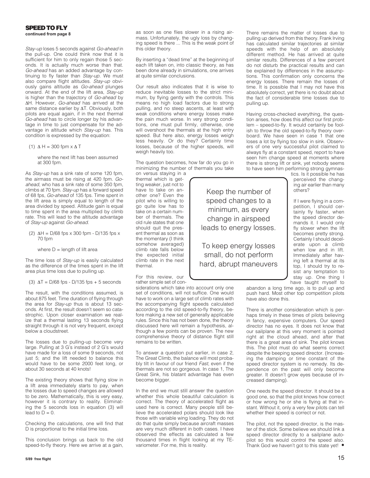#### **SPEED TO FLY**

**continued from page 8**

Stay-up loses 5 seconds against Go-ahead in the pull-up. One could think now that it is sufficient for him to only regain those 5 seconds. It is actually much worse than that. Go-ahead has an added advantage by continuing to fly faster than Stay-up. We must also compare flight altitudes. Stay-up obviously gains altitude as Go-ahead plunges onward. At the end of the lift area, Stay-up is higher than the trajectory of Go-ahead by ΔH. However, Go-ahead has arrived at the same distance earlier by ΔT. Obviously, both pilots are equal again, if in the next thermal Go-ahead has to circle longer by his advantage in time to just compensate for the advantage in altitude which Stay-up has. This condition is expressed by the equation:

(1)  $\Delta H = 300$  fpm  $\times \Delta T$ 

 where the next lift has been assumed at 300 fpm.

As Stay-up has a sink rate of some 120 fpm, the airmass must be rising at 420 fpm. Goahead, who has a sink rate of some 350 fpm, climbs at 70 fpm. Stay-up has a forward speed of 68 fps, Go-ahead of 135 fps. Time spent in the lift area is simply equal to length of the area divided by speed. Altitude gain is equal to time spent in the area multiplied by climb rate. This will lead to the altitude advantage of Stay-up against Go-ahead.

(2)  $ΔH = D/68$  fps x 300 fpm -  $D/135$  fps x 70 fpm

where  $D =$  length of lift area

The time loss of Stay-up is easily calculated as the difference of the times spent in the lift area plus time loss due to pulling up.

(3)  $\Delta T = D/68$  fps - D/135 fps + 5 seconds

The result, with the conditions assumed, is about 875 feet. Time duration of flying through the area for *Stay-up* thus is about 13 seconds. At first, the result doesn't seem so catastrophic. Upon closer examination we realize that a thermal lasting 13 seconds flying straight through it is not very frequent, except below a cloudstreet.

The losses due to pulling-up become very large. Pulling at 3 G's instead of 2 G's would have made for a loss of some 9 seconds, not just 5; and the lift needed to balance this would have to be some 2000 feet long, or about 30 seconds at 40 knots!

The existing theory shows that flying slow in a lift area immediately starts to pay, when the losses due to speed changes are allowed to be zero. Mathematically, this is very easy, however it is contrary to reality. Eliminating the 5 seconds loss in equation (3) will lead to  $D = 0$ .

Checking the calculations, one will find that D is proportional to the initial time loss.

This conclusion brings us back to the old speed-to-fly theory. Here we arrive at a gain, as soon as one flies slower in a rising airmass. Unfortunately, the ugly loss by changing speed is there ... This is the weak point of this older theory.

By inserting a "dead time" at the beginning of each lift taken on, into classic theory, as has been done already in simulations, one arrives at quite similar conclusions.

Our result also indicates that it is wise to reduce inevitable losses to the strict minimum, by flying gently with the controls. This means no high load factors due to strong pulling, and no steep ascents, at least with weak conditions where energy losses make the pain much worse. In very strong conditions, one must pull firmly, otherwise, one will overshoot the thermals at the high entry speed. But here also, energy losses weigh less heavily. Or do they? Certainly time losses, because of the higher speeds, will weigh heavily too.

The question becomes, how far do you go in minimizing the number of thermals you take

> Keep the number of speed changes to a minimum, as every change in airspeed leads to energy losses.

To keep energy losses small, do not perform hard, abrupt maneuvers

on versus staying in a thermal which is getting weaker, just not to have to take on another one? Even the pilot who is willing to go quite low has to take on a certain number of thermals. The old rule states that one should quit the present thermal as soon as the momentary (I think somehow averaged) climb rate falls below the expected initial climb rate in the next thermal.

For this review, our rather simple set of con-

siderations which take into account only one set of conditions, will not suffice. One would have to work on a large set of climb rates with the accompanying flight speeds calculated according to the old speed-to-fly theory, before making a new set of generally applicable rules. Since this has not been done, the theory discussed here will remain a hypothesis, although a few points can be proven. The new comprehensive theory of distance flight still remains to be written.

To answer a question put earlier, in case 2, The Great Climb, the balance will most probably tilt in favour of our friend Fast, even if the thermals are not so gorgeous. In case 1, The Great Sink, his blatant advantage has even become bigger.

In the end we must still answer the question whether this whole beautiful calculation is correct. The theory of accelerated flight as used here is correct. Many people still believe the accelerated polars should look like those with variable wing loading. They do not do that quite simply because aircraft masses are very much different in both cases. I have observed the effects as calculated a few thousand times in flight looking at my TEvariometer. For me, this is reality.

There remains the matter of losses due to pulling up derived from this theory. Frank Irving has calculated similar trajectories at similar speeds with the help of an absolutely different method. He has arrived at quite similar results. Differences of a few percent do not disturb the practical results and can be explained by differences in the assumptions. This confirmation only concerns the energy losses. There remain the losses of time. It is possible that I may not have this absolutely correct, yet there is no doubt about the fact of considerable time losses due to pulling up.

Having cross-checked everything, the question arises, how does this affect our first problem – speed-to-fly. It would certainly be foolish to throw the old speed-to-fly theory overboard. We have seen in case 1 that one loses a lot by flying too slow in sink. Observers of one very successful pilot claimed to always fly at a constant speed, report to have seen him change speed at moments where there is strong lift or sink, yet nobody seems to have seen him performing strong gymnas-

tics. Is it possible he has perceived the changing air earlier than many others?

If I were flying in a competition, I should certainly fly faster, when the speed director demands it. I would only fly slower when the lift becomes pretty strong. Certainly I should decelerate upon a climb when low and in lift. Immediately after having left a thermal at its top, I should try to resist any temptation to stay up. One thing I have taught myself to

abandon a long time ago, is to pull up and push hard. Most other top competition pilots have also done this.

There is another consideration which is perhaps timely in these times of pilots believing in fancy, expensive computers. Our speed director has no eyes. It does not know that our sailplane at this very moment is pointed right at the cloud ahead, and after that there is a great area of sink. The pilot knows this. The pilot must do what seems correct despite the beeping speed director. (Increasing the damping or time constant of the speed director system is no remedy. Its dependence on the past will only become greater. It doesn't grow eyes because of increased damping).

One needs the speed director. It should be a good one, so that the pilot knows how correct or how wrong he or she is flying at that instant. Without it, only a very few pilots can tell whether their speed is correct or not.

The pilot, not the speed director, is the master of the stick. Some believe we should link a speed director directly to a sailplane autopilot so this would control the speed also. Thank God we haven't got to this state yet! •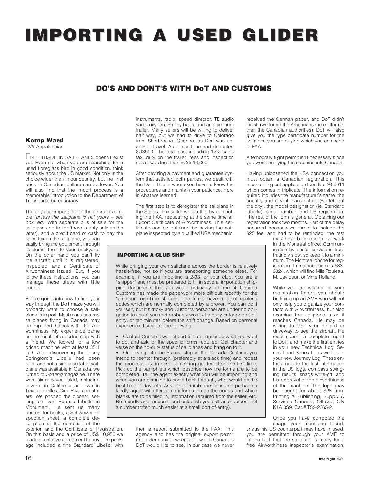## **IMPORTING A USED GLIDER IMPORTING A USED GLIDER**

#### **DO'S AND DONT'S WITH DoT AND CUSTOMS**

#### **Kemp Ward** CVV Appalachian

Transport's bureaucracy.

FREE TRADE IN SAILPLANES doesn't exist yet. Even so, when you are searching for a used fibreglass bird in good condition, think seriously about the US market. Not only is the choice wider than in our country, but the final price in Canadian dollars can be lower. You will also find that the import process is a memorable introduction to the Department of

The physical importation of the aircraft is simple (unless the sailplane is not yours  $-$  see box. ed). With separate bills of sale for the sailplane and trailer (there is duty only on the latter), and a credit card or cash to pay the sales tax on the sailplane, you can

easily bring the equipment through Customs, then to your backyard. On the other hand you can't fly the aircraft until it is registered, inspected, and a Certificate of Airworthiness issued. But, if you follow these instructions, you can manage these steps with little trouble.

Before going into how to find your way through the DoT maze you will probably want to choose a sailplane to import. Most manufactured sailplanes flying in Canada may be imported. Check with DoT Airworthiness. My experience came as the result of a partnership with a friend. We looked for a low priced machine with at least 35:1 L/D. After discovering that Larry Springford's Libelle had been sold, and not a single suitable sailplane was available in Canada, we turned to *Soaring* magazine. There were six or seven listed, including several in California and two in Texas: Libelles, Cirri, Piks, and others. We phoned the closest, settling on Don Edam's Libelle in Monument. He sent us many photos, logbooks, a Schweizer inspection sheet, a complete description of the condition of the

exterior, and the Certificate of Registration. On this basis and a price of US\$ 10,950 we made a tentative agreement to buy. The package included a fine Standard Libelle, with instruments, radio, speed director, TE audio vario, oxygen, Smiley bags, and an aluminum trailer. Many sellers will be willing to deliver half way, but we had to drive to Colorado from Sherbrooke, Quebec, as Don was unable to travel. As a result, he had deducted \$US500. The total cost including 12% sales tax, duty on the trailer, fees and inspection costs, was less than \$Cdn16,000.

After devising a payment and guarantee system that satisfied both parties, we dealt with the DoT. This is where you have to know the procedures and maintain your patience. Here is what we learned:

The first step is to deregister the sailplane in the States. The seller will do this by contacting the FAA, requesting at the same time an Export Certificate of Airworthiness. This certificate can be obtained by having the sailplane inspected by a qualified USA mechanic,

#### **IMPORTING A CLUB SHIP**

While bringing your own sailplane across the border is relatively hassle-free, not so if you are transporting someone elses. For example, if you are importing a 2-33 for your club, you are a "shipper" and must be prepared to fill in several importation shipping documents that you would ordinarily be free of. Canada Customs has made the paperwork more difficult recently for the "amateur" one-time shipper. The forms have a lot of esoteric codes which are normally completed by a broker. You can do it yourself, but it's tricky and Customs personnel are under no obligation to assist you and probably won't at a busy or large port-ofentry, or ten minutes before the shift change. Based on personal experience, I suggest the following:

• Contact Customs well ahead of time, describe what you want to do, and ask for the specific forms required. Get chapter and verse on the no-duty status of sailplanes and hang on to it.

• On driving into the States, stop at the Canada Customs you intend to reenter through (preferably at a slack time) and repeat the process, just in case something got forgotten the first time. Pick up the pamphlets which describe how the forms are to be completed. Tell the agent exactly what you will be importing and when you are planning to come back through, what would be the best time of day, etc. Ask lots of dumb questions and perhaps a kindly agent will offer some information on the codes and which blanks are to be filled in, information required from the seller, etc. Be friendly and innocent and establish yourself as a person, not a number (often much easier at a small port-of-entry).

> then a report submitted to the FAA. This agency also has the original export permit (from Germany or wherever), which Canada's DoT would like to see. In our case we never

received the German paper, and DoT didn't insist (we found the Americans more informal than the Canadian authorities). DoT will also give you the type certificate number for the sailplane you are buying which you can send to FAA.

A temporary flight permit isn't necessary since you won't be flying the machine into Canada.

Having unloosened the USA connection you must obtain a Canadian registration. This means filling out application form No. 26-0011 which comes in triplicate. The information required includes the manufacturer's name, the country and city of manufacture (we left out the city), the model designation (ie. Standard Libelle), serial number, and US registration. The rest of the form is general. Obtaining our registration took two months. Part of the delay occurred because we forgot to include the \$25 fee, and had to be reminded: the rest

must have been due to overwork in the Montreal office. Communication by postal service is frustratingly slow, so keep it to a minimum. The Montreal phone for registration (Immatriculation) is 633- 3324, which will find Mlle Rouleau, M. Lavigeur, or Mme Rolland.

While you are waiting for your registration letters you should be lining up an AME who will not only help you organize your contacts with Airworthiness, but also examine the sailplane after it reaches Canada. He may be willing to visit your airfield or driveway to see the aircraft. He must submit a complete report to DoT, and make the first entries in your new Technical Log, Series I and Series II, as well as in your new Journey Log. These entries include the last information in the US logs, compass swinging results, snags write-off, and his approval of the airworthiness of the machine. The logs may be bought for about \$28 from Printing & Publishing, Supply & Services Canada, Ottawa, ON K1A 0S9, Cat.# T52-2365-2.

Once you have corrected the snags your mechanic found,

snags his US counterpart may have missed, you are permitted through your AME to inform DoT that the sailplane is ready for a free Airworthiness inspector's examination.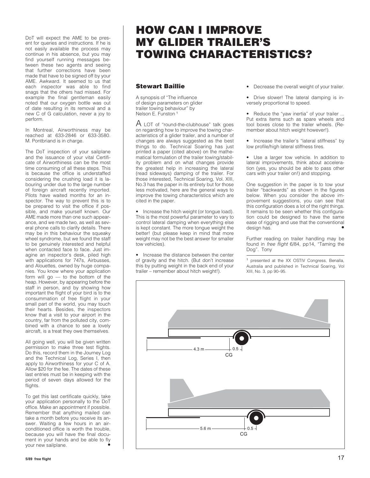DoT will expect the AME to be present for queries and instructions. If he is not easily available the process may continue in his absence, but you may find yourself running messages between these two agents and seeing that further corrections have been made that have to be signed off by your AME. Awkward. It seemed to us that each inspector was able to find snags that the others had missed. For example the final gentleman easily noted that our oxygen bottle was out of date resulting in its removal and a new C of G calculation, never a joy to perform.

In Montreal, Airworthiness may be reached at 633-2846 or 633-3580. M. Pontbriand is in charge.

The DoT inspection of your sailplane and the issuance of your vital Certificate of Airworthiness can be the most time consuming of all these steps. This is because the office is understaffed considering the crushing load it is labouring under due to the large number of foreign aircraft recently imported. Pilots have waited months for an inspector. The way to prevent this is to be prepared to visit the office if possible, and make yourself known. Our AME made more than one such appearance, and we made two, as well as several phone calls to clarify details. There may be in this behaviour the squeaky wheel syndrome, but we found the staff to be genuinely interested and helpful when contacted face to face. Just imagine an inspector's desk, piled high with applications for 747s, Airbusses, and Alouettes, owned by huge companies. You know where your application form will go — to the bottom of the heap. However, by appearing before the staff in person, and by showing how important the flight of your bird is to the consummation of free flight in your small part of the world, you may touch their hearts. Besides, the inspectors know that a visit to your airport in the country, far from the polluted city, combined with a chance to see a lovely aircraft, is a treat they owe themselves.

All going well, you will be given written permission to make three test flights. Do this, record them in the Journey Log and the Technical Log, Series I, then apply to Airworthiness for your C of A. Allow \$20 for the fee. The dates of these last entries must be in keeping with the period of seven days allowed for the flights.

To get this last certificate quickly, take your application personally to the DoT office. Make an appointment if possible. Remember that anything mailed can take a month before you receive its answer. Waiting a few hours in an airconditioned office is worth the trouble, because you will have the final document in your hands and be able to fly your new sailplane.

### **HOW CAN I IMPROVE MY GLIDER TRAILER'S TOWING CHARACTERISTICS?**

#### **Stewart Baillie**

A synopsis of "The influence of design parameters on glider trailer towing behaviour" by Nelson E. Funston <sup>1</sup>

 $A$  LOT of "round-the-clubhouse" talk goes on regarding how to improve the towing characteristics of a glider trailer, and a number of changes are always suggested as the best things to do. Technical Soaring has just printed a paper (cited above) on the mathematical formulation of the trailer towing/stability problem and on what changes provide the greatest help in increasing the lateral (read sideways) damping of the trailer. For those interested, Technical Soaring, Vol. XIII, No.3 has the paper in its entirety but for those less motivated, here are the general ways to improve the towing characteristics which are cited in the paper.

• Increase the hitch weight (or tongue load). This is the most powerful parameter to vary to control lateral damping when everything else is kept constant. The more tongue weight the better! (but please keep in mind that more weight may not be the best answer for smaller tow vehicles).

• Increase the distance between the center of gravity and the hitch. (But don't increase this by putting weight in the back end of your trailer – remember about hitch weight!).

- Decrease the overall weight of your trailer.
- Drive slower! The lateral damping is inversely proportional to speed.

• Reduce the "yaw inertia" of your trailer ... Put extra items such as spare wheels and tool boxes close to the trailer wheels. (Remember about hitch weight however!).

• Increase the trailer's "lateral stiffness" by low profile/high lateral stiffness tires.

• Use a larger tow vehicle. In addition to lateral improvements, think about acceleration (yes, you should be able to pass other cars with your trailer on!) and stopping.

One suggestion in the paper is to tow your trailer "backwards" as shown in the figures below. When you consider the above improvement suggestions, you can see that this configuration does a lot of the right things. It remains to be seen whether this configuration could be designed to have the same ease of rigging and use that the conventional design has.

Further reading on trailer handling may be found in free flight 6/84, pp14, "Taming the Dog". Tony

<sup>1</sup> presented at the XX OSTIV Congress, Benalla, Australia and published in Technical Soaring, Vol XIII, No. 3, pp 90–95.

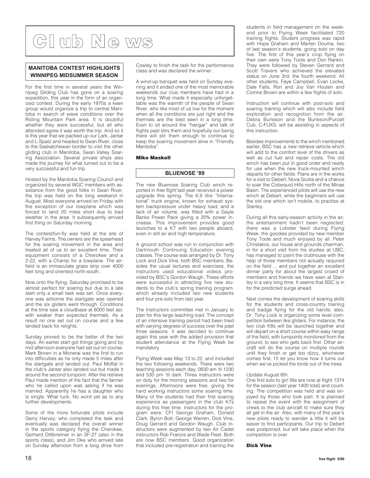**Cl ub Ne ws**

#### **MANITOBA CONTEST HIGHLIGHTS WINNIPEG MIDSUMMER SEASON**

For the first time in several years the Winnipeg Gliding Club has gone on a soaring expedition, this year in the form of an organized contest. During the early 1970s a keen group would organize a trip to central Manitoba in search of wave conditions over the Riding Mountain Park area. It is doubtful whether they were successful, but all who attended agree it was worth the trip. And so it is this year that we packed up our Lark, Jantar and L-Spatz and headed to Swan River, close to the Saskatchewan border to visit the other gliding club in Manitoba, Swan Valley Soaring Association. Several private ships also made the journey for what turned out to be a very successful and fun trip.

Hosted by the Manitoba Soaring Council and organized by several WGC members with assistance from the good folks in Swan River, the trip was held on the long weekend in August. Most everyone arrived on Friday with the exception of our towplane which was forced to land 20 miles short due to bad weather in the area. It subsequently arrived first thing on Saturday morning.

The contest/fun-fly was held at the site of Harvey Farms. The owners are the spearhead for the soaring movement in the area and treated all of us to an excellent time. Their equipment consists of a Cherokee and a 2-22, with a Champ for a towplane. The airfield is an immaculate grass strip over 4000 feet long and oriented north-south.

Now onto the flying. Saturday promised to be almost perfect for soaring but due to a late start only a small task was set. Once everyone was airborne the startgate was opened and the six gliders went through. Conditions at the time saw a cloudbase at 6000 feet asl, with weaker than expected thermals. As a result no one set out on course and a few landed back for relights.

Sunday proved to be the better of the two days. An earlier start got things going and by mid afternoon everyone had set out on course. Mark Brown in a Monerai was the first to run into difficulties as he only made 5 miles after the startgate and landed out. Paul Moffat in the club's Jantar also landed out but made it around the second turnpoint. After the retrieve Paul made mention of the fact that the farmer who he called upon was asking if he was married. Apparently he has a daughter who is single. What luck. No word yet as to any further developments.

Some of the more fortunate pilots include Gerry Harvey, who completed the task and eventually was declared the overall winner in the sports category flying the Cherokee, Gerhard Dittbrenner in an SF-27 (also in the sports class), and Jim Oke who arrived late on Sunday afternoon from a long drive from

Cowley to finish the task for the performance class and was declared the winner.

A wind-up banquet was held on Sunday evening and it ended one of the most memorable weekends our club members have had in a long time. What made it especially unforgettable was the warmth of the people of Swan River, who like most of us live for the moment when all the conditions are just right and the thermals are the best seen in a long time. Even to sit around the "hangar" and talk of flights past stirs them and hopefully our being there will stir them enough to continue to keep the soaring movement alive in "Friendly Manitoba".

#### **Mike Maskell**

#### **BLUENOSE '89**

The new Bluenose Soaring Club winch reported in free flight last year received a power upgrade this spring. The 6.9 litre "International" truck engine, known for exhaust system backpressure under heavy load, and a lack of air volume, was fitted with a Gayle Banks Power Pack giving a 20% power increase. This improvement provides good launches to a K7 with two people aboard, even in still air and high temperature.

A ground school was run in conjunction with Dartmouth Continuing Education evening classes. The course was arranged by Dr. Tony Lock and Dick Vine, both BSC members. Besides the usual lectures and exercises, the instructors used educational videos provided by BSC's Gordon Waugh. These efforts were successful in attracting five new students to the club's spring training program, which already included two new students and four pre-solo from last year.

The Instructors committee met in January to plan for this large teaching load. The concept of an intensive training period had been tried with varying degrees of success over the past three seasons. It was decided to continue again this year with the added provision that student attendance at the Flying Week be mandatory.

Flying Week was May 13 to 22, and included the two following weekends. There were two teaching sessions each day, 0830 am 'til 1230 and 530 pm 'til dark. Three instructors were on duty for the morning sessions and two for evenings. Afternoons were free, giving the hard working instructors some soaring time. Many of the students had their first soaring experience as passengers in the club K7s during this free time. Instructors for the program were: CFI George Graham, Donald Clark, Byron Bolt, George Warren, Dick Vine, Doug Gerrard and Gordon Waugh. Club instructors were augmented by two Air Cadet instructors Rob Francis and Wade Fleet. Both are now BSC members. Good organization that included pre-registration and training the students in field management on the weekend prior to Flying Week facilitated 720 training flights. Student progress was rapid with Hope Graham and Marten Douma, two of last season's students, going solo on day five. The first of this year's crop flying on their own were Tony Toole and Don Rankin. They were followed by Steven Gerrard and Scott Travers who achieved the elevated status on June 3rd, the fourth weekend. All other students, Faye Campbell, Evan Locke, Dale Falls, Ron and Joy Van Houten and Corrine Brown are within a few flights of solo.

Instruction will continue with post-solo and soaring training which will also include field exploration and recognition from the air. Debra Burleson and the Burleson/Purcell Cub, C-FUXS, will be assisting in aspects of this instruction.

Besides improvements to the winch mentioned earlier, BSC has a new retrieve vehicle which will add to the comfort level of the drivers as well as cut fuel and repair costs. The old winch has been put in good order and ready for use when the new truck-mounted winch departs for other fields. Plans are in the works for a visit to Debert, Nova Scotia and a chance to soar the Cobequid Hills north of the Minas Basin. The experienced pilots will use the new winch at Debert, while the beginners will use the old one which isn't mobile, to practise at Stanley.

During all this early-season activity in the air, the entertainment hadn't been neglected; there was a Lobster feed during Flying Week, the goodies provided by new member Tony Toole and much enjoyed by all. Peter Christakos, our house and grounds chairman, in for a short visit from his studies at UBC, has managed to paint the clubhouse with the help of those members not actually required on the field ... and put together an excellent dinner party for about the largest crowd of members and friends we have seen at Stanley in a very long time. It seems that BSC is in for the predicted surge ahead.

Next comes the development of soaring skills for the students and cross-country training and badge flying for the old hands; also, Dr. Tony Lock is organizing some level competition between like gliders. For instance, the two club K8s will be launched together and will depart on a short course within easy range of the field, with turnpoints monitored from the ground, to see who gets back first. Other aircraft will do the course on multiple rounds until they finish or get too dizzy, whichever comes first. I'll let you know how it turns out when we've picked the birds out of the trees.

#### Update August 6th:

One first solo to go! We are now at flight 1374 for the season (last year 1400 total) and counting. The competition was held and was enjoyed by those who took part. It is planned to repeat the event with the assignment of crews to the club aircraft to make sure they all get in the air. Also, with many of this year's new pilots ready to wander a little it will be easier to find participants. Our trip to Debert was postponed, but will take place when the competition is over.

#### **Dick Vine**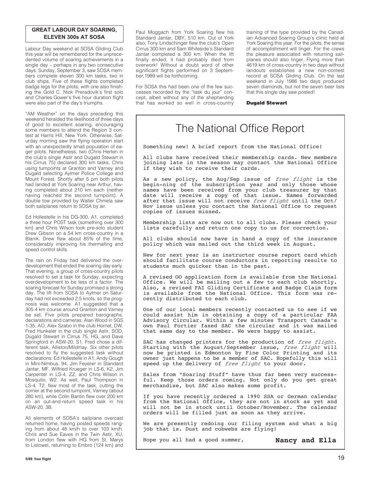#### **GREAT LABOUR DAY SOARING, ELEVEN 300s AT SOSA**

Labour Day weekend at SOSA Gliding Club this year will be remembered for the unprecedented volume of soaring achievements in a single day – perhaps in any two consecutive days. Sunday, September 3, saw SOSA members complete eleven 300 km tasks, two in club ships. Five of these flights completed badge legs for the pilots, with one also finishing the Gold C. Nick Preradovik's first solo and Charles Gower's five hour duration flight were also part of the day's triumphs.

"AM Weather" on the days preceding this weekend heralded the likelihood of three days of good to excellent soaring, encouraging some members to attend the Region 3 contest at Harris Hill, New York. Otherwise, Saturday morning saw the flying operation start with an unexpectedly small population of eager pilots. Nonetheless, two (Chris Herten in the club's single Astir and Dugald Stewart in his Cirrus 75) declared 300 km tasks, Chris using turnpoints at Granton and Varney and Dugald selecting Aylmer Police College and Mount Forest. Shortly after 5 pm both pilots had landed at York Soaring near Arthur, having completed about 210 km each (neither having reached the second turnpoint). A double tow provided by Walter Chmela saw both sailplanes return to SOSA by air.

Ed Hollestelle in his DG-300, A1, completed a three hour POST task (something over 300 km) and Chris Wilson took pre-solo student Drew Gibson on a 54 km cross-country in a Blanik. Drew flew about 85% of the time, considerably improving his thermalling and speed control skills.

The rain on Friday had delivered the overdevelopment that ended the soaring day early. That evening, a group of cross-country pilots resolved to set a task for Sunday, expecting overdevelopment to be less of a factor. The soaring forecast for Sunday promised a strong day. The lift from SOSA to Aylmer on Saturday had not exceeded 2.5 knots, so the prognosis was welcome. A1 suggested that a 305.4 km course around Granton and Varney be set. Five pilots prepared barographs, declarations and cameras: Alan Wood in SGS 1-35, AO, Alex Szabo in the club Hornet, DW, Fred Hunkeler in the club single Astir, SOD, Dugald Stewart in Cirrus 75, HG, and Dave Springford in ASW-20, S1. Fred chose a different task, Alliston/Mildmay. Six other pilots resolved to fly the suggested task without declarations: Ed Hollestelle in A1, Andy Gough in Mini-Nimbus, 94, Jim Feyerer in Standard Jantar, MF, Wilfried Krueger in LS-6, K2, Jim Carpenter in LS-4, ZZ, and Chris Wilson in Mosquito, W2. As well, Paul Thompson in LS-4, T2, flew most of the task, cutting the corner at the second turnpoint, Varney (about 280 km), while Colin Bantin flew over 200 km on an out-and-return speed task in his ASW-20, 3B.

All elements of SOSA's sailplane overcast returned home, having posted speeds ranging from about 48 km/h to over 103 km/h. Chris and Sue Eaves in the Twin Astir, XU, from London flew with HG from St. Marys to Listowel, returning to Embro (124 km) and

Paul Moggach from York Soaring flew his Standard Jantar, DBY, 510 km. Out of York also, Tony Lindschinger flew the club's Open Cirrus 300 km and Sam Whiteside's Standard Jantar completed a 300 km. When the lift finally ended, it had probably died from overwork! Without a doubt word of other significant flights performed on 3 September,1989 will be forthcoming.

For SOSA this had been one of the few successes recorded by the "task du jour" concept, albeit without any of the shepherding that has worked so well in cross-country training of the type provided by the Canadian Advanced Soaring Group's clinic held at York Soaring this year. For the pilots, the sense of accomplishment will linger. For the crews the pleasure associated with returning sailplanes should also linger. Flying more than 4619 km of cross-country in two days without landouts establishes a new non-contest record at SOSA Gliding Club. On the last weekend in July 1986 two days produced seven diamonds, but not the seven beer lists that this single day saw posted!

**Dugald Stewart**

### The National Office Report

Something new! A brief report from the National Office!

All clubs have received their membership cards. New members joining late in the season may contact the National Office if they wish to receive their cards.

As a new policy, the Aug/Sep issue of *free flight* is the begin-ning of the subscription year and only those whose names have been received from your club treasurer by that date will receive a copy of that issue. Names forwarded after that issue will not receive free flight until the Oct/ Nov issue unless you contact the National Office to request copies of issues missed.

Membership lists are now out to all clubs. Please check your lists carefully and return one copy to us for correction.

All clubs should now have in hand a copy of the insurance policy which was mailed out the third week in August.

New for next year is an instructor course report card which should facilitate course conductors in reporting results to students much quicker than in the past.

A revised OO application form is available from the National Office. We will be mailing out a few to each club shortly. Also, a revised FAI Gliding Certificate and Badge Claim form is available from the National Office. This form was recently distributed to each club.

One of our local members recently contacted us to see if we could assist him in obtaining a copy of a particular FAA Advisory Circular. Within a few minutes Transport Canada's own Paul Fortier faxed SAC the circular and it was mailed that same day to the member. We were happy to assist.

SAC has changed printers for the production of *free flight*.<br>Starting with the August/September issue, *free flight* will now be printed in Edmonton by Fine Color Printing and its owner just happens to be a member of SAC. Hopefully this will speed up the delivery of *free flight* to your door.

Sales from "Soaring Stuff" have thus far been very successful. Keep those orders coming. Not only do you get great merchandise, but SAC also makes some profit.

If you have recently ordered a 1990 SSA or German calendar from the National Office, they are not in stock as yet and will not be in stock until October/November. The calendar orders will be filled just as soon as they arrive.

We are presently redoing our filing system and what a big job that is. Dust and cobwebs are flying!

Hope you all had a good summer, **Nancy and Ella**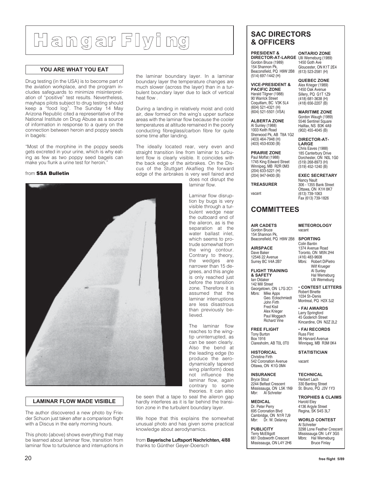## **Hangar Flyi ng**

#### **YOU ARE WHAT YOU EAT**

Drug testing (in the USA) is to become part of the aviation workplace, and the program includes safeguards to minimize misinterpretation of "positive" test results. Nevertheless, mayhaps pilots subject to drug testing should keep a "food log". The Sunday 14 May Arizona Republic cited a representative of the National Institute on Drug Abuse as a source of information in response to a query on the connection between heroin and poppy seeds in bagels:

"Most of the morphine in the poppy seeds gets excreted in your urine, which is why eating as few as two poppy seed bagels can make you flunk a urine test for heroin."

#### from **SSA Bulletin**

the laminar boundary layer. In a laminar boundary layer the temperature changes are much slower (across the layer) than in a turbulent boundary layer due to lack of vertical heat flow .

During a landing in relatively moist and cold air, dew formed on the wing's upper surface areas with the laminar flow because the cooler temperatures at altitude remained in the poorly conducting fibreglass/carbon fibre for quite some time after landing.

The ideally located rear, very even and straight transition line from laminar to turbulent flow is clearly visible. It coincides with the back edge of the airbrakes. On the Discus of the Stuttgart Akaflieg the forward edge of the airbrakes is very well faired and

> does not disrupt the laminar flow.

> Laminar flow disruption by bugs is very visible through a turbulent wedge near the outboard end of the aileron, as is the separation at the water ballast inlet, which seems to protrude somewhat from the wing contour. Contrary to theory, the wedges are narrower than 15 degrees, and this angle is only reached just before the transition zone. Therefore it is assumed that the laminar interruptions are less disastrous than previously believed.

> The laminar flow reaches to the wingtip uninterrupted, as can be seen clearly. Also the bend at the leading edge (to produce the aerodynamically tapered wing planform) does not influence the laminar flow, again contrary to some theories. It can also

#### 1003 Keith Road Sherwood Pk, AB T8A 1G2 (403) 464-7948 (H) (403) 453-8330 (B)

vacant

Gordon Bruce (1989) 154 Shannon Pk, Beaconsfield, PQ H9W 2B8 (514) 697-1442 (H) **VICE-PRESIDENT &**

**SAC DIRECTORS & OFFICERS**

**PRESIDENT &**

**PACIFIC ZONE** Harald Tilgner (1988) 90 Warrick Street Coquitlam, BC V3K 5L4 (604) 521-4321 (H) (604) 521-5501 (VSA) **ALBERTA ZONE** Al Sunley (1988)

**PRAIRIE ZONE** Paul Moffat (1988) 1745 King Edward Street Winnipeg, MB R2R 0M3 (204) 633-5221 (H) (204) 947-9400 (B) **TREASURER**

**DIRECTOR-AT-LARGE** Ulli Werneburg (1989) **ONTARIO ZONE** 1450 Goth Ave Gloucester, ON K1T 2E4 (613) 523-2581 (H)

#### **QUEBEC ZONE** Alex Krieger (1989)

1450 Oak Avenue Sillery, PQ G1T 1Z9 (418) 681-3638 (H) (418) 656-2207 (B)

**MARITIME ZONE** Gordon Waugh (1989) 5546 Sentinel Square Halifax, NS B3K 4A9 (902) 455-4045 (B)

**DIRECTOR-AT-LARGE** Chris Eaves (1988) 185 Canterbury Drive Dorchester, ON N0L 1G0 (519) 268-8973 (H) (519) 452-1240 (B)

**EXEC SECRETARY** Nancy Nault 306 - 1355 Bank Street Ottawa, ON K1H 8K7 (613) 739-1063 Fax (613) 739-1826

#### **COMMITTEES**

**AIR CADETS** Gordon Bruce 154 Shannon Pk, Beaconsfield, PQ H9W 2B8

**AIRSPACE** Dave Baker 12546 22 Avenue Surrey BC V4A 2B7

**FLIGHT TRAINING & SAFETY** Ian Oldaker

Mike Apps Geo. Eckschmiedt John Firth Fred Kisil Alex Krieger

**INSURANCE** Bryce Stout 2244 Belfast Crescent Mississauga, ON L5K 1N9 Mbr: Al Schreiter

**MEDICAL** Dr. Peter Perry 695 Coronation Blvd Cambridge, ON N1R 7J9<br>Mbr: Dr. W. Delaney Dr. W. Delaney

**PUBLICITY** Terry McElligott 661 Dodsworth Crescent Mississauga, ON L4Y 2H6

#### **SPORTING** Colin Bantin 1374 Avenue Road Toronto, ON M5N 2H4 (416) 483-9608

**METEOROLOGY**

vacant

Robert DiPietro Wilf Krueger Al Sunley Hal Werneburg Ulli Werneburg

• **CONTEST LETTERS** Robert Binette 1034 St–Denis Montreal, PQ H2X 3J2

• **FAI AWARDS** Larry Springford 45 Goderich Street Kincardine, ON N2Z 2L2

• **FAI RECORDS** Russ Flint 96 Harvard Avenue Winnipeg, MB R3M 0K4

**STATISTICIAN**

vacant

**TECHNICAL** Herbert Lach 330 Banting Street St. Bruno, PQ J3V 1Y3

**TROPHIES & CLAIMS** Harold Eley 4136 Argyle Street Regina, SK S4S 3L7

**WORLD CONTEST** Al Schreiter 3298 Lone Feather Crescent Mississauga ON L4Y 3G5<br>Mbrs: Hal Werneburg Hal Werneburg Bruce Finlay

#### **LAMINAR FLOW MADE VISIBLE**

The author discovered a new photo by Frieder Schuon just taken after a comparison flight with a Discus in the early morning hours.

This photo (above) shows everything that may be learned about laminar flow, transition from laminar flow to turbulence and interruptions in

be seen that a tape to seal the aileron gap hardly interferes as it is far behind the transition zone in the turbulent boundary layer.

We hope that this explains the somewhat unusual photo and has given some practical knowledge about aerodynamics.

from **Bayerische Luftsport Nachrichten, 4/88** thanks to Günther Geyer-Doersch



Paul Moggach Richard Vine **FREE FLIGHT** Tony Burton

142 Mill Street Georgetown, ON L7G 2C1<br>Mbrs: Mike Apps

Box 1916

**HISTORICAL** Christine Firth 542 Coronation Avenue

Claresholm, AB T0L 0T0

### Ottawa, ON K1G 0M4

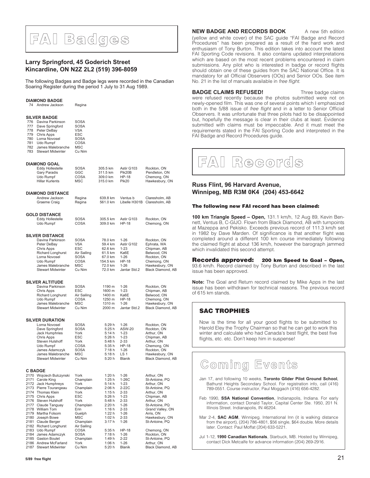## **FAI Badges**

#### **Larry Springford, 45 Goderich Street Kincardine, ON N2Z 2L2 (519) 396-8059**

The following Badges and Badge legs were recorded in the Canadian Soaring Register during the period 1 July to 31 Aug 1989.

#### **DIAMOND BADGE**

Andrew Jackson Regina

#### **SILVER BADGE**

| 776 | Davina Parkinson         | <b>SOSA</b> |
|-----|--------------------------|-------------|
| 777 | Dave Springford          | <b>SOSA</b> |
| 778 | Peter DeBay              | <b>VSA</b>  |
| 779 | Chris Apps               | ESC         |
| 780 | Lorna Novosel            | <b>SOSA</b> |
| 781 | Udo Rumpf                | COSA        |
| 782 | James Malebranche        | <b>MSC</b>  |
| 783 | <b>Stewart Midwinter</b> | Cu Nim      |

#### **DIAMOND GOAL**

| Eddy Hollestelle       | <b>SOSA</b> | 305.5 km | Astir G103        | Rockton, ON    |
|------------------------|-------------|----------|-------------------|----------------|
| Gary Paradis           | GGC         | 311.5 km | Pik20B            | Pendleton, ON  |
| Udo Rumpf              | <b>COSA</b> | 309.0 km | $HP-18$           | Chemona, ON    |
| <b>Hillar Kurlents</b> | <b>MSC</b>  | 315.0 km | Pik <sub>20</sub> | Hawkesbury, ON |
|                        |             |          |                   |                |
|                        |             |          |                   |                |

#### **DIAMOND DISTANCE**

|              | Andrew Jackson<br>Graeme Craig            | Regina<br>Regina           | 639.8 km<br>561.0 km | Ventus b                    | Claresholm, AB<br>Libelle H301B Claresholm, AB |
|--------------|-------------------------------------------|----------------------------|----------------------|-----------------------------|------------------------------------------------|
|              | <b>GOLD DISTANCE</b>                      |                            |                      |                             |                                                |
|              | Eddy Hollestelle<br>Udo Rumpf             | SOSA<br>COSA               | 305.5 km<br>309.0 km | Astir G103<br>$HP-18$       | Rockton, ON<br>Chemong, ON                     |
|              | <b>SILVER DISTANCE</b>                    |                            |                      |                             |                                                |
|              | Davina Parkinson<br>Peter DeBay           | <b>SOSA</b><br><b>VSA</b>  | 78.0 km<br>59.4 km   | $1 - 26$<br>Astir G102      | Rockton, ON<br>Ephrata, WA                     |
|              | Chris Apps<br><b>Richard Longhurst</b>    | ESC<br>Air Sailing         | 62.6 km<br>61.5 km   | $1 - 23$<br>Ka6E            | Chipman, AB<br>Belwood, ON                     |
|              | Lorna Novosel                             | <b>SOSA</b>                | 67.0 km              | $1 - 26$                    | Rockton, ON                                    |
|              | Udo Rumpf<br>James Malebranche            | COSA<br><b>MSC</b>         | 154.5 km<br>72.0 km  | <b>HP-18</b><br>$1 - 26$    | Chemong, ON                                    |
|              | <b>Stewart Midwinter</b>                  | Cu Nim                     | 72.0 km              | Jantar Std.2                | Hawkesbury, ON<br>Black Diamond, AB            |
|              | <b>SILVER ALTITUDE</b>                    |                            |                      |                             |                                                |
|              | Davina Parkinson<br>Chris Apps            | <b>SOSA</b><br><b>ESC</b>  | 1190 m<br>1600 m     | $1 - 26$<br>$1 - 23$        | Rockton, ON<br>Chipman, AB                     |
|              | Richard Longhurst                         | Air Sailing                | 1400 m               | Ka6E                        | Belwood, ON                                    |
|              | Udo Rumpf<br>James Malebranche            | <b>COSA</b><br>MSC         | 1250 m<br>1310 m     | <b>HP-18</b><br>$1 - 26$    | Chemong, ON<br>Hawkesbury, ON                  |
|              | <b>Stewart Midwinter</b>                  | Cu Nim                     | 2000 m               | Jantar Std.2                | Black Diamond, AB                              |
|              | <b>SILVER DURATION</b>                    |                            |                      |                             |                                                |
|              | Lorna Novosel<br>Dave Springford          | <b>SOSA</b><br><b>SOSA</b> | 5:29h<br>5:25h       | $1 - 26$<br><b>ASW-20</b>   | Rockton, ON<br>Rockton, ON                     |
|              | <b>Jack Humphries</b>                     | York                       | 5:14h                | $1 - 23$                    | Arthur, ON                                     |
|              | Chris Apps<br>Steven Hulshoff             | ESC<br>York                | 5:26 h<br>5:48 h     | $1 - 23$<br>$2 - 33$        | Chipman, AB<br>Arthur, ON                      |
|              | Udo Rumpf                                 | COSA                       | 5:35 h               | <b>HP-18</b>                | Chemong, ON                                    |
|              | James Adamczyk<br>James Malebranche       | <b>SOSA</b><br><b>MSC</b>  | 7:18h<br>5:18 h      | $1 - 26$<br>LS <sub>1</sub> | Rockton, ON<br>Hawkesbury, ON                  |
|              | <b>Stewart Midwinter</b>                  | Cu Nim                     | 5:20 h               | Blanik                      | Black Diamond, AB                              |
|              | <b>C BADGE</b>                            |                            |                      |                             |                                                |
| 2171         | 2170 Wojciech Bulczynski<br>Carole King   | York<br>Champlain          | 1:20h<br>1:25h       | $1 - 26$<br>$1-26C$         | Arthur, ON<br>St-Antoine, PQ                   |
| 2172         | Jack Humphreys                            | York                       | 5:14 h               | $1 - 23$                    | Arthur, ON                                     |
| 2174         | 2173 Pierre Tourangeau<br>Thomas Klein    | Champlain<br>York          | 2:06 h<br>1:15h      | $2-22C$<br>$2 - 33$         | St-Antoine, PQ<br>Arthur, ON                   |
|              | 2175 Chris Apps                           | ESC                        | 5:26 h               | $1 - 23$                    | Chipman, AB                                    |
| 2176         | Steven Hulshoff                           | York                       | 5:48 h               | $2 - 33$                    | Arthur, ON                                     |
| 2177<br>2178 | Claude Tanguay<br><b>William Tom</b>      | Champlain<br>Erin          | 2:20 h<br>1:16h      | $1 - 26$<br>$2 - 33$        | St-Antoine, PQ<br>Grand Valley, ON             |
| 2179         | Martha Folsom                             | Guelph                     | 1:22 h               | $1 - 26$                    | Arris, ON                                      |
| 2180<br>2181 | Joseph Bowe                               | <b>MSC</b>                 | 1:02h<br>3:17h       | $2 - 33$<br>$1 - 26$        | Hawkesbury, ON                                 |
| 2182         | Claude Berger<br><b>Richard Longhurst</b> | Champlain<br>Air Sailing   |                      |                             | St-Antoine, PQ                                 |
| 2183         | Udo Rumpf                                 | COSA                       | 5:35h                | <b>HP-18</b>                | Chemong, ON                                    |
| 2184<br>2185 | James Adamczyk<br><b>Gaston Boulet</b>    | <b>SOSA</b><br>Champlain   | 7:18h<br>1:49 h      | $1 - 26$<br>$2 - 22$        | Rockton, ON<br>St-Antoine, PQ                  |
|              |                                           |                            |                      |                             |                                                |

2186 Andrew McFarland York 1:06 h 1-26 Arthur, ON 2187 Stewart Midwinter Cu Nim 5:20 h Blanik Black Diamond, AB

**NEW BADGE AND RECORDS BOOK** A new 5th edition

(yellow and white cover) of the SAC guide "FAI Badge and Record Procedures" has been prepared as a result of the hard work and enthusiasm of Tony Burton. This edition takes into account the latest FAI Sporting Code revisions. It also contains updated interpretations which are based on the most recent problems encountered in claim submissions. Any pilot who is interested in badge or record flights should obtain one of these quides from the SAC National Office. It is mandatory for all Official Observers (OOs) and Senior OOs. See item No. 21 in the list of manuals available in free flight.

#### **BADGE CLAIMS REFUSED!** Three badge claims

were refused recently because the photos submitted were not on newly-opened film. This was one of several points which I emphasized both in the 5/88 issue of free flight and in a letter to Senior Official Observers. It was unfortunate that three pilots had to be disappointed but, hopefully the message is clear in their clubs at least. Evidence submitted with claims must be impeccable. And it must meet the requirements stated in the FAI Sporting Code and interpreted in the FAI Badge and Record Procedures guide.



#### **Russ Flint, 96 Harvard Avenue, Winnipeg, MB R3M 0K4 (204) 453-6642**

#### **The following new FAI record has been claimed:**

**100 km Triangle Speed – Open,** 131.1 km/h, 12 Aug 89, Kevin Bennett, Ventus B, C-GIJO. Flown from Black Diamond, AB with turnpoints at Mazeppa and Pekisko. Exceeds previous record of 111.3 km/h set in 1982 by Dave Marden. Of significance is that another flight was completed around a different 100 km course immediately following the claimed flight at about 136 km/h, however the barograph jammed which invalidated this second attempt.

**Records approved: 200 km Speed to Goal – Open,** 93.6 km/h. Record claimed by Tony Burton and described in the last issue has been approved.

**Note:** The Goal and Return record claimed by Mike Apps in the last issue has been withdrawn for technical reasons. The previous record of 615 km stands.

#### **SAC TROPHIES**

Now is the time for all your good flights to be submitted to Harold Eley the Trophy Chairman so that he can get to work this winter and calculate who had Canada's best flight, the best five flights, etc. etc. Don't keep him in suspense!



- Jan 17, and following 10 weeks, **Toronto Glider Pilot Ground School**, Bathurst Heights Secondary School. For registration info, call (416) 789-0551. Course instructor, Paul Moggach (416) 656-4282.
- Feb 1990, **SSA National Convention**, Indianapolis, Indiana. For early information, contact Donald Taylor, Capital Center Ste. 1950, 201 N. Illinois Street. Indianapolis, IN 46204.

Mar 2-4, **SAC AGM**, Winnipeg. International Inn (it is walking distance from the airport), (204) 786-4801, \$56 single, \$64 double. More details later. Contact: Paul Moffat (204) 633-5221.

Jul 1-12, **1990 Canadian Nationals**, Starbuck, MB. Hosted by Winnipeg, contact Dick Metcalfe for advance information (204) 269-2916.

2187 Stewart Midwinter